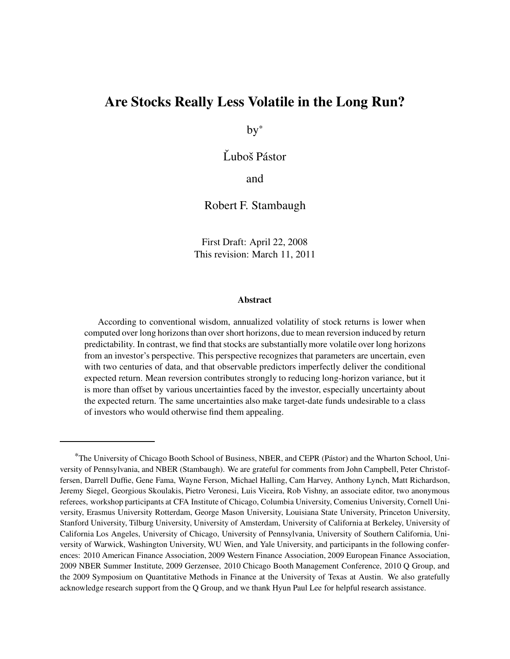# Are Stocks Really Less Volatile in the Long Run?

by\*

Ľuboš Pástor

and

Robert F. Stambaugh

First Draft: April 22, 2008 This revision: March 11, 2011

#### **Abstract**

According to conventional wisdom, annualized volatility of stock returns is lower when computed over long horizons than over short horizons, due to mean reversion induced by return predictability. In contrast, we find that stocks are substantially more volatile over long horizons from an investor's perspective. This perspective recognizes that parameters are uncertain, even with two centuries of data, and that observable predictors imperfectly deliver the conditional expected return. Mean reversion contributes strongly to reducing long-horizon variance, but it is more than offset by various uncertainties faced by the investor, especially uncertainty about the expected return. The same uncertainties also make target-date funds undesirable to a class of investors who would otherwise find them appealing.

<sup>&</sup>lt;sup>\*</sup>The University of Chicago Booth School of Business, NBER, and CEPR (Pástor) and the Wharton School, University of Pennsylvania, and NBER (Stambaugh). We are grateful for comments from John Campbell, Peter Christoffersen, Darrell Duffie, Gene Fama, Wayne Ferson, Michael Halling, Cam Harvey, Anthony Lynch, Matt Richardson, Jeremy Siegel, Georgious Skoulakis, Pietro Veronesi, Luis Viceira, Rob Vishny, an associate editor, two anonymous referees, workshop participants at CFA Institute of Chicago, Columbia University, Comenius University, Cornell University, Erasmus University Rotterdam, George Mason University, Louisiana State University, Princeton University, Stanford University, Tilburg University, University of Amsterdam, University of California at Berkeley, University of California Los Angeles, University of Chicago, University of Pennsylvania, University of Southern California, University of Warwick, Washington University, WU Wien, and Yale University, and participants in the following conferences: 2010 American Finance Association, 2009 Western Finance Association, 2009 European Finance Association, 2009 NBER Summer Institute, 2009 Gerzensee, 2010 Chicago Booth Management Conference, 2010 Q Group, and the 2009 Symposium on Quantitative Methods in Finance at the University of Texas at Austin. We also gratefully acknowledge research support from the Q Group, and we thank Hyun Paul Lee for helpful research assistance.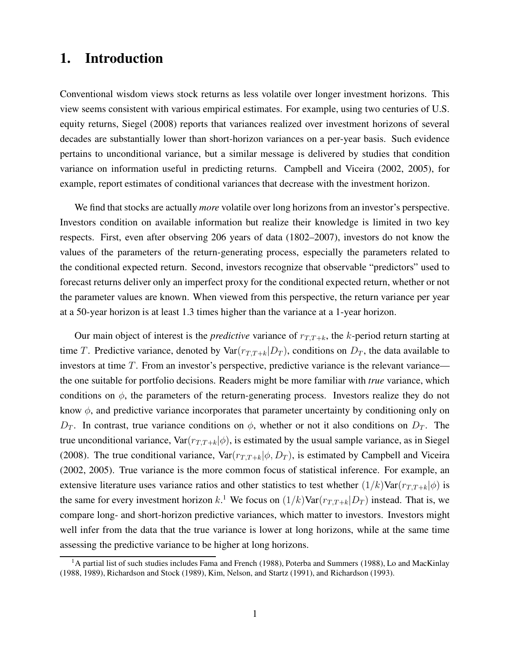# 1. Introduction

Conventional wisdom views stock returns as less volatile over longer investment horizons. This view seems consistent with various empirical estimates. For example, using two centuries of U.S. equity returns, Siegel (2008) reports that variances realized over investment horizons of several decades are substantially lower than short-horizon variances on a per-year basis. Such evidence pertains to unconditional variance, but a similar message is delivered by studies that condition variance on information useful in predicting returns. Campbell and Viceira (2002, 2005), for example, report estimates of conditional variances that decrease with the investment horizon.

We find that stocks are actually *more* volatile over long horizons from an investor's perspective. Investors condition on available information but realize their knowledge is limited in two key respects. First, even after observing 206 years of data (1802–2007), investors do not know the values of the parameters of the return-generating process, especially the parameters related to the conditional expected return. Second, investors recognize that observable "predictors" used to forecast returns deliver only an imperfect proxy for the conditional expected return, whether or not the parameter values are known. When viewed from this perspective, the return variance per year at a 50-year horizon is at least 1.3 times higher than the variance at a 1-year horizon.

Our main object of interest is the *predictive* variance of  $r_{T,T+k}$ , the k-period return starting at time T. Predictive variance, denoted by  $\text{Var}(r_{T,T+k}|D_T)$ , conditions on  $D_T$ , the data available to investors at time  $T$ . From an investor's perspective, predictive variance is the relevant variance the one suitable for portfolio decisions. Readers might be more familiar with *true* variance, which conditions on  $\phi$ , the parameters of the return-generating process. Investors realize they do not know  $\phi$ , and predictive variance incorporates that parameter uncertainty by conditioning only on  $D_T$ . In contrast, true variance conditions on  $\phi$ , whether or not it also conditions on  $D_T$ . The true unconditional variance,  $Var(r_{T,T+k}|\phi)$ , is estimated by the usual sample variance, as in Siegel (2008). The true conditional variance,  $Var(r_{T,T+k}|\phi, D_T)$ , is estimated by Campbell and Viceira (2002, 2005). True variance is the more common focus of statistical inference. For example, an extensive literature uses variance ratios and other statistics to test whether  $(1/k) \text{Var}(r_{T,T+k}|\phi)$  is the same for every investment horizon k.<sup>1</sup> We focus on  $(1/k)$ Var $(r_{T,T+k}|D_T)$  instead. That is, we compare long- and short-horizon predictive variances, which matter to investors. Investors might well infer from the data that the true variance is lower at long horizons, while at the same time assessing the predictive variance to be higher at long horizons.

<sup>&</sup>lt;sup>1</sup>A partial list of such studies includes Fama and French (1988), Poterba and Summers (1988), Lo and MacKinlay (1988, 1989), Richardson and Stock (1989), Kim, Nelson, and Startz (1991), and Richardson (1993).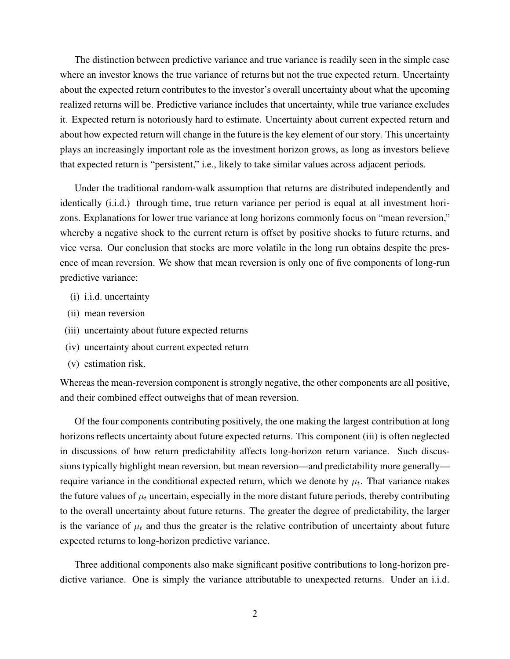The distinction between predictive variance and true variance is readily seen in the simple case where an investor knows the true variance of returns but not the true expected return. Uncertainty about the expected return contributes to the investor's overall uncertainty about what the upcoming realized returns will be. Predictive variance includes that uncertainty, while true variance excludes it. Expected return is notoriously hard to estimate. Uncertainty about current expected return and about how expected return will change in the future is the key element of our story. This uncertainty plays an increasingly important role as the investment horizon grows, as long as investors believe that expected return is "persistent," i.e., likely to take similar values across adjacent periods.

Under the traditional random-walk assumption that returns are distributed independently and identically (i.i.d.) through time, true return variance per period is equal at all investment horizons. Explanations for lower true variance at long horizons commonly focus on "mean reversion," whereby a negative shock to the current return is offset by positive shocks to future returns, and vice versa. Our conclusion that stocks are more volatile in the long run obtains despite the presence of mean reversion. We show that mean reversion is only one of five components of long-run predictive variance:

- (i) i.i.d. uncertainty
- (ii) mean reversion
- (iii) uncertainty about future expected returns
- (iv) uncertainty about current expected return
- (v) estimation risk.

Whereas the mean-reversion component is strongly negative, the other components are all positive, and their combined effect outweighs that of mean reversion.

Of the four components contributing positively, the one making the largest contribution at long horizons reflects uncertainty about future expected returns. This component (iii) is often neglected in discussions of how return predictability affects long-horizon return variance. Such discussions typically highlight mean reversion, but mean reversion—and predictability more generally require variance in the conditional expected return, which we denote by  $\mu_t$ . That variance makes the future values of  $\mu_t$  uncertain, especially in the more distant future periods, thereby contributing to the overall uncertainty about future returns. The greater the degree of predictability, the larger is the variance of  $\mu_t$  and thus the greater is the relative contribution of uncertainty about future expected returns to long-horizon predictive variance.

Three additional components also make significant positive contributions to long-horizon predictive variance. One is simply the variance attributable to unexpected returns. Under an i.i.d.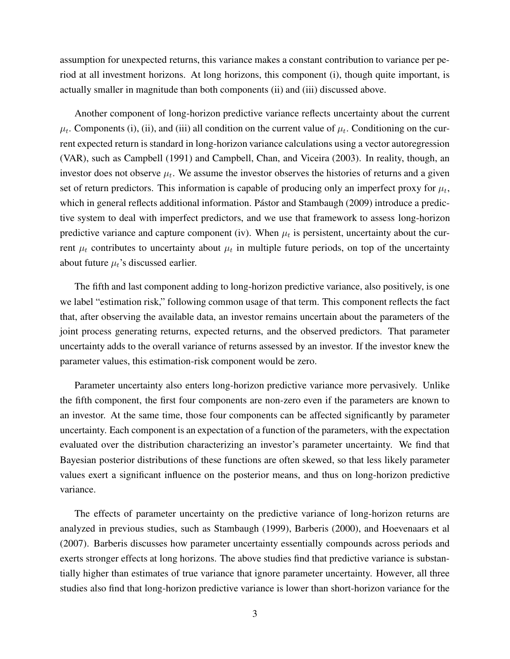assumption for unexpected returns, this variance makes a constant contribution to variance per period at all investment horizons. At long horizons, this component (i), though quite important, is actually smaller in magnitude than both components (ii) and (iii) discussed above.

Another component of long-horizon predictive variance reflects uncertainty about the current  $\mu_t$ . Components (i), (ii), and (iii) all condition on the current value of  $\mu_t$ . Conditioning on the current expected return is standard in long-horizon variance calculations using a vector autoregression (VAR), such as Campbell (1991) and Campbell, Chan, and Viceira (2003). In reality, though, an investor does not observe  $\mu_t$ . We assume the investor observes the histories of returns and a given set of return predictors. This information is capable of producing only an imperfect proxy for  $\mu_t$ , which in general reflects additional information. Pástor and Stambaugh (2009) introduce a predictive system to deal with imperfect predictors, and we use that framework to assess long-horizon predictive variance and capture component (iv). When  $\mu_t$  is persistent, uncertainty about the current  $\mu_t$  contributes to uncertainty about  $\mu_t$  in multiple future periods, on top of the uncertainty about future  $\mu_t$ 's discussed earlier.

The fifth and last component adding to long-horizon predictive variance, also positively, is one we label "estimation risk," following common usage of that term. This component reflects the fact that, after observing the available data, an investor remains uncertain about the parameters of the joint process generating returns, expected returns, and the observed predictors. That parameter uncertainty adds to the overall variance of returns assessed by an investor. If the investor knew the parameter values, this estimation-risk component would be zero.

Parameter uncertainty also enters long-horizon predictive variance more pervasively. Unlike the fifth component, the first four components are non-zero even if the parameters are known to an investor. At the same time, those four components can be affected significantly by parameter uncertainty. Each component is an expectation of a function of the parameters, with the expectation evaluated over the distribution characterizing an investor's parameter uncertainty. We find that Bayesian posterior distributions of these functions are often skewed, so that less likely parameter values exert a significant influence on the posterior means, and thus on long-horizon predictive variance.

The effects of parameter uncertainty on the predictive variance of long-horizon returns are analyzed in previous studies, such as Stambaugh (1999), Barberis (2000), and Hoevenaars et al (2007). Barberis discusses how parameter uncertainty essentially compounds across periods and exerts stronger effects at long horizons. The above studies find that predictive variance is substantially higher than estimates of true variance that ignore parameter uncertainty. However, all three studies also find that long-horizon predictive variance is lower than short-horizon variance for the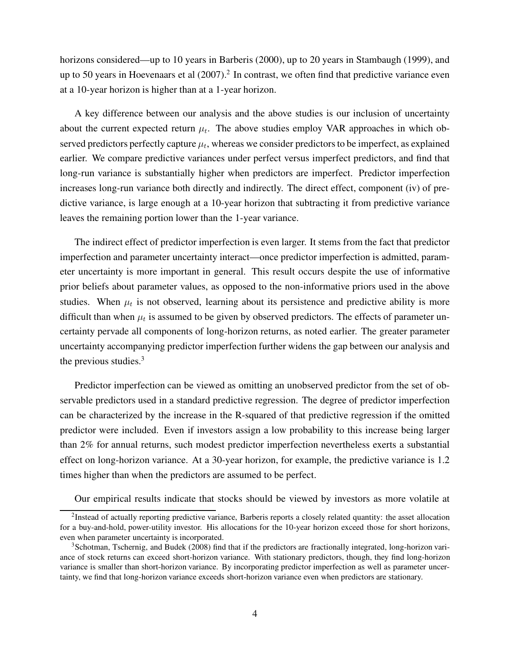horizons considered—up to 10 years in Barberis (2000), up to 20 years in Stambaugh (1999), and up to 50 years in Hoevenaars et al  $(2007)$ .<sup>2</sup> In contrast, we often find that predictive variance even at a 10-year horizon is higher than at a 1-year horizon.

A key difference between our analysis and the above studies is our inclusion of uncertainty about the current expected return  $\mu_t$ . The above studies employ VAR approaches in which observed predictors perfectly capture  $\mu_t$ , whereas we consider predictors to be imperfect, as explained earlier. We compare predictive variances under perfect versus imperfect predictors, and find that long-run variance is substantially higher when predictors are imperfect. Predictor imperfection increases long-run variance both directly and indirectly. The direct effect, component (iv) of predictive variance, is large enough at a 10-year horizon that subtracting it from predictive variance leaves the remaining portion lower than the 1-year variance.

The indirect effect of predictor imperfection is even larger. It stems from the fact that predictor imperfection and parameter uncertainty interact—once predictor imperfection is admitted, parameter uncertainty is more important in general. This result occurs despite the use of informative prior beliefs about parameter values, as opposed to the non-informative priors used in the above studies. When  $\mu_t$  is not observed, learning about its persistence and predictive ability is more difficult than when  $\mu_t$  is assumed to be given by observed predictors. The effects of parameter uncertainty pervade all components of long-horizon returns, as noted earlier. The greater parameter uncertainty accompanying predictor imperfection further widens the gap between our analysis and the previous studies. $3$ 

Predictor imperfection can be viewed as omitting an unobserved predictor from the set of observable predictors used in a standard predictive regression. The degree of predictor imperfection can be characterized by the increase in the R-squared of that predictive regression if the omitted predictor were included. Even if investors assign a low probability to this increase being larger than 2% for annual returns, such modest predictor imperfection nevertheless exerts a substantial effect on long-horizon variance. At a 30-year horizon, for example, the predictive variance is 1.2 times higher than when the predictors are assumed to be perfect.

Our empirical results indicate that stocks should be viewed by investors as more volatile at

 $2$ Instead of actually reporting predictive variance, Barberis reports a closely related quantity: the asset allocation for a buy-and-hold, power-utility investor. His allocations for the 10-year horizon exceed those for short horizons, even when parameter uncertainty is incorporated.

<sup>3</sup>Schotman, Tschernig, and Budek (2008) find that if the predictors are fractionally integrated, long-horizon variance of stock returns can exceed short-horizon variance. With stationary predictors, though, they find long-horizon variance is smaller than short-horizon variance. By incorporating predictor imperfection as well as parameter uncertainty, we find that long-horizon variance exceeds short-horizon variance even when predictors are stationary.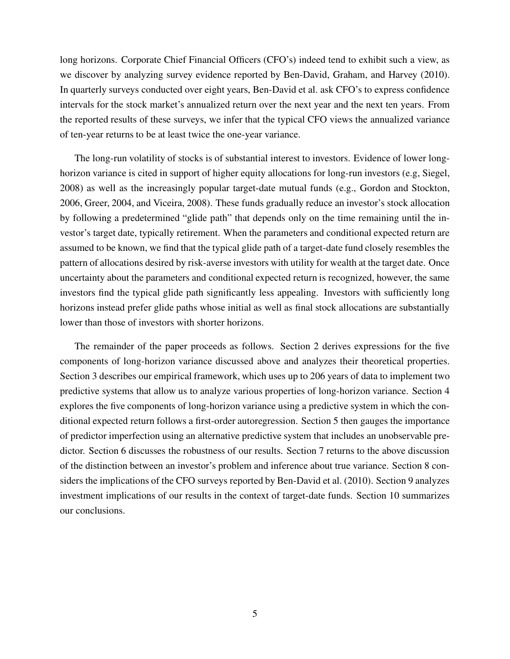long horizons. Corporate Chief Financial Officers (CFO's) indeed tend to exhibit such a view, as we discover by analyzing survey evidence reported by Ben-David, Graham, and Harvey (2010). In quarterly surveys conducted over eight years, Ben-David et al. ask CFO's to express confidence intervals for the stock market's annualized return over the next year and the next ten years. From the reported results of these surveys, we infer that the typical CFO views the annualized variance of ten-year returns to be at least twice the one-year variance.

The long-run volatility of stocks is of substantial interest to investors. Evidence of lower longhorizon variance is cited in support of higher equity allocations for long-run investors (e.g, Siegel, 2008) as well as the increasingly popular target-date mutual funds (e.g., Gordon and Stockton, 2006, Greer, 2004, and Viceira, 2008). These funds gradually reduce an investor's stock allocation by following a predetermined "glide path" that depends only on the time remaining until the investor's target date, typically retirement. When the parameters and conditional expected return are assumed to be known, we find that the typical glide path of a target-date fund closely resembles the pattern of allocations desired by risk-averse investors with utility for wealth at the target date. Once uncertainty about the parameters and conditional expected return is recognized, however, the same investors find the typical glide path significantly less appealing. Investors with sufficiently long horizons instead prefer glide paths whose initial as well as final stock allocations are substantially lower than those of investors with shorter horizons.

The remainder of the paper proceeds as follows. Section 2 derives expressions for the five components of long-horizon variance discussed above and analyzes their theoretical properties. Section 3 describes our empirical framework, which uses up to 206 years of data to implement two predictive systems that allow us to analyze various properties of long-horizon variance. Section 4 explores the five components of long-horizon variance using a predictive system in which the conditional expected return follows a first-order autoregression. Section 5 then gauges the importance of predictor imperfection using an alternative predictive system that includes an unobservable predictor. Section 6 discusses the robustness of our results. Section 7 returns to the above discussion of the distinction between an investor's problem and inference about true variance. Section 8 considers the implications of the CFO surveys reported by Ben-David et al. (2010). Section 9 analyzes investment implications of our results in the context of target-date funds. Section 10 summarizes our conclusions.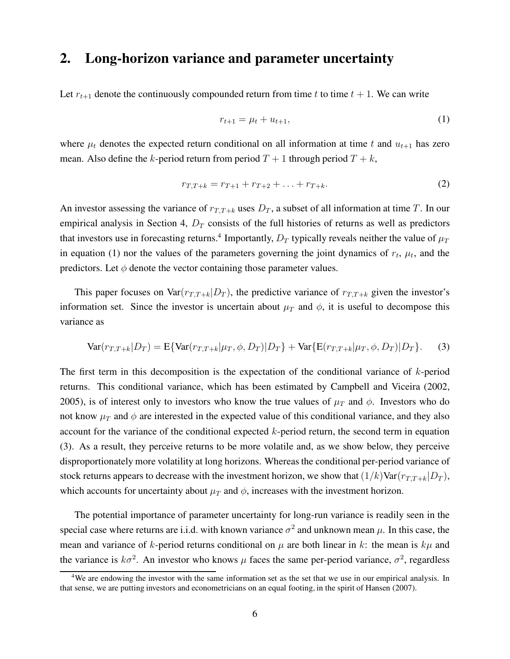# 2. Long-horizon variance and parameter uncertainty

Let  $r_{t+1}$  denote the continuously compounded return from time t to time  $t + 1$ . We can write

$$
r_{t+1} = \mu_t + u_{t+1},\tag{1}
$$

where  $\mu_t$  denotes the expected return conditional on all information at time t and  $u_{t+1}$  has zero mean. Also define the k-period return from period  $T + 1$  through period  $T + k$ ,

$$
r_{T,T+k} = r_{T+1} + r_{T+2} + \ldots + r_{T+k}.
$$
 (2)

An investor assessing the variance of  $r_{T,T+k}$  uses  $D_T$ , a subset of all information at time T. In our empirical analysis in Section 4,  $D_T$  consists of the full histories of returns as well as predictors that investors use in forecasting returns.<sup>4</sup> Importantly,  $D_T$  typically reveals neither the value of  $\mu_T$ in equation (1) nor the values of the parameters governing the joint dynamics of  $r_t$ ,  $\mu_t$ , and the predictors. Let  $\phi$  denote the vector containing those parameter values.

This paper focuses on  $\text{Var}(r_{T,T+k}|D_T)$ , the predictive variance of  $r_{T,T+k}$  given the investor's information set. Since the investor is uncertain about  $\mu_T$  and  $\phi$ , it is useful to decompose this variance as

$$
Var(r_{T,T+k}|D_T) = E\{Var(r_{T,T+k}|\mu_T, \phi, D_T)|D_T\} + Var\{E(r_{T,T+k}|\mu_T, \phi, D_T)|D_T\}.
$$
 (3)

The first term in this decomposition is the expectation of the conditional variance of  $k$ -period returns. This conditional variance, which has been estimated by Campbell and Viceira (2002, 2005), is of interest only to investors who know the true values of  $\mu_T$  and  $\phi$ . Investors who do not know  $\mu_T$  and  $\phi$  are interested in the expected value of this conditional variance, and they also account for the variance of the conditional expected  $k$ -period return, the second term in equation (3). As a result, they perceive returns to be more volatile and, as we show below, they perceive disproportionately more volatility at long horizons. Whereas the conditional per-period variance of stock returns appears to decrease with the investment horizon, we show that  $(1/k) \text{Var}(r_{T,T+k}|D_T)$ , which accounts for uncertainty about  $\mu_T$  and  $\phi$ , increases with the investment horizon.

The potential importance of parameter uncertainty for long-run variance is readily seen in the special case where returns are i.i.d. with known variance  $\sigma^2$  and unknown mean  $\mu$ . In this case, the mean and variance of k-period returns conditional on  $\mu$  are both linear in k: the mean is  $k\mu$  and the variance is  $k\sigma^2$ . An investor who knows  $\mu$  faces the same per-period variance,  $\sigma^2$ , regardless

<sup>&</sup>lt;sup>4</sup>We are endowing the investor with the same information set as the set that we use in our empirical analysis. In that sense, we are putting investors and econometricians on an equal footing, in the spirit of Hansen (2007).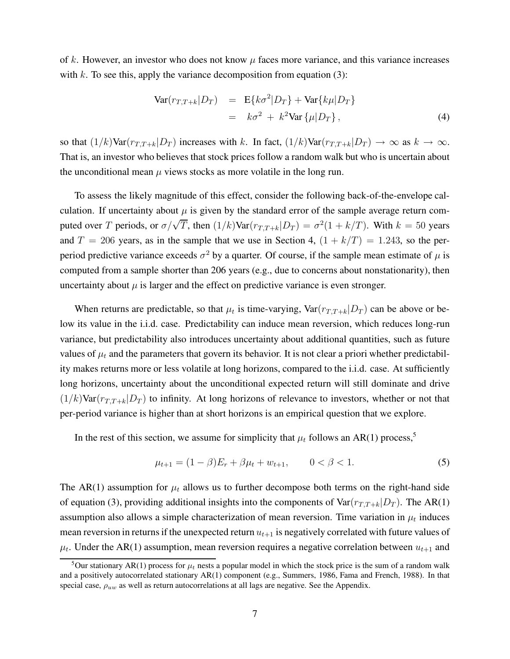of k. However, an investor who does not know  $\mu$  faces more variance, and this variance increases with k. To see this, apply the variance decomposition from equation  $(3)$ :

$$
\begin{aligned}\n\text{Var}(r_{T,T+k}|D_T) &= \mathbf{E}\{k\sigma^2|D_T\} + \text{Var}\{k\mu|D_T\} \\
&= k\sigma^2 + k^2 \text{Var}\{\mu|D_T\}\,,\n\end{aligned} \tag{4}
$$

so that  $(1/k)\text{Var}(r_{T,T+k}|D_T)$  increases with k. In fact,  $(1/k)\text{Var}(r_{T,T+k}|D_T) \rightarrow \infty$  as  $k \rightarrow \infty$ . That is, an investor who believes that stock prices follow a random walk but who is uncertain about the unconditional mean  $\mu$  views stocks as more volatile in the long run.

To assess the likely magnitude of this effect, consider the following back-of-the-envelope calculation. If uncertainty about  $\mu$  is given by the standard error of the sample average return computed over T periods, or  $\sigma/\sqrt{T}$ , then  $(1/k) \text{Var}(r_{T,T+k}|D_T) = \sigma^2(1+k/T)$ . With  $k = 50$  years and  $T = 206$  years, as in the sample that we use in Section 4,  $(1 + k/T) = 1.243$ , so the perperiod predictive variance exceeds  $\sigma^2$  by a quarter. Of course, if the sample mean estimate of  $\mu$  is computed from a sample shorter than 206 years (e.g., due to concerns about nonstationarity), then uncertainty about  $\mu$  is larger and the effect on predictive variance is even stronger.

When returns are predictable, so that  $\mu_t$  is time-varying,  $Var(r_{T,T+k}|D_T)$  can be above or below its value in the i.i.d. case. Predictability can induce mean reversion, which reduces long-run variance, but predictability also introduces uncertainty about additional quantities, such as future values of  $\mu_t$  and the parameters that govern its behavior. It is not clear a priori whether predictability makes returns more or less volatile at long horizons, compared to the i.i.d. case. At sufficiently long horizons, uncertainty about the unconditional expected return will still dominate and drive  $(1/k)$ Var $(r_{T,T+k}|D_T)$  to infinity. At long horizons of relevance to investors, whether or not that per-period variance is higher than at short horizons is an empirical question that we explore.

In the rest of this section, we assume for simplicity that  $\mu_t$  follows an AR(1) process,<sup>5</sup>

$$
\mu_{t+1} = (1 - \beta)E_r + \beta \mu_t + w_{t+1}, \qquad 0 < \beta < 1. \tag{5}
$$

The AR(1) assumption for  $\mu_t$  allows us to further decompose both terms on the right-hand side of equation (3), providing additional insights into the components of  $\text{Var}(r_{T,T+k}|D_T)$ . The AR(1) assumption also allows a simple characterization of mean reversion. Time variation in  $\mu_t$  induces mean reversion in returns if the unexpected return  $u_{t+1}$  is negatively correlated with future values of  $\mu_t$ . Under the AR(1) assumption, mean reversion requires a negative correlation between  $u_{t+1}$  and

<sup>&</sup>lt;sup>5</sup>Our stationary AR(1) process for  $\mu_t$  nests a popular model in which the stock price is the sum of a random walk and a positively autocorrelated stationary AR(1) component (e.g., Summers, 1986, Fama and French, 1988). In that special case,  $\rho_{uw}$  as well as return autocorrelations at all lags are negative. See the Appendix.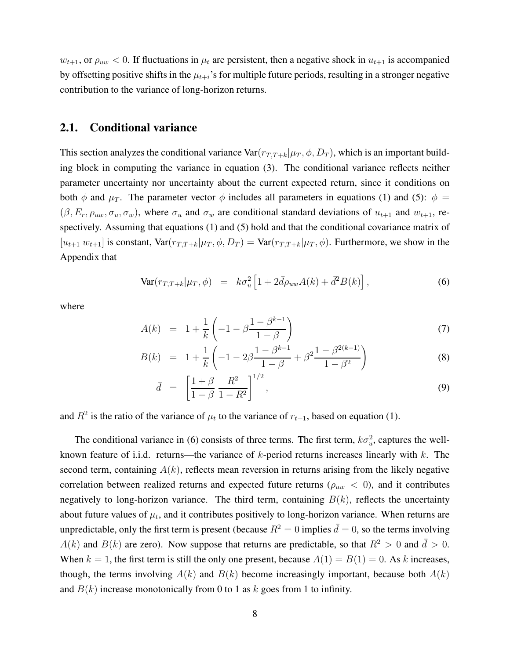$w_{t+1}$ , or  $\rho_{uw} < 0$ . If fluctuations in  $\mu_t$  are persistent, then a negative shock in  $u_{t+1}$  is accompanied by offsetting positive shifts in the  $\mu_{t+i}$ 's for multiple future periods, resulting in a stronger negative contribution to the variance of long-horizon returns.

#### 2.1. Conditional variance

This section analyzes the conditional variance  $\text{Var}(r_{T,T+k}|\mu_T, \phi, D_T)$ , which is an important building block in computing the variance in equation (3). The conditional variance reflects neither parameter uncertainty nor uncertainty about the current expected return, since it conditions on both  $\phi$  and  $\mu_T$ . The parameter vector  $\phi$  includes all parameters in equations (1) and (5):  $\phi$  =  $(\beta, E_r, \rho_{uw}, \sigma_u, \sigma_w)$ , where  $\sigma_u$  and  $\sigma_w$  are conditional standard deviations of  $u_{t+1}$  and  $w_{t+1}$ , respectively. Assuming that equations (1) and (5) hold and that the conditional covariance matrix of  $[u_{t+1} \ w_{t+1}]$  is constant,  $Var(r_{T,T+k}|\mu_T, \phi, D_T) = Var(r_{T,T+k}|\mu_T, \phi)$ . Furthermore, we show in the Appendix that

$$
\text{Var}(r_{T,T+k}|\mu_T,\phi) = k\sigma_u^2 \left[1 + 2\bar{d}\rho_{uw}A(k) + \bar{d}^2B(k)\right],\tag{6}
$$

where

$$
A(k) = 1 + \frac{1}{k} \left( -1 - \beta \frac{1 - \beta^{k-1}}{1 - \beta} \right)
$$
 (7)

$$
B(k) = 1 + \frac{1}{k} \left( -1 - 2\beta \frac{1 - \beta^{k-1}}{1 - \beta} + \beta^2 \frac{1 - \beta^{2(k-1)}}{1 - \beta^2} \right)
$$
(8)

$$
\bar{d} = \left[ \frac{1+\beta}{1-\beta} \frac{R^2}{1-R^2} \right]^{1/2},\tag{9}
$$

and  $R^2$  is the ratio of the variance of  $\mu_t$  to the variance of  $r_{t+1}$ , based on equation (1).

The conditional variance in (6) consists of three terms. The first term,  $k\sigma_u^2$ , captures the wellknown feature of i.i.d. returns—the variance of  $k$ -period returns increases linearly with  $k$ . The second term, containing  $A(k)$ , reflects mean reversion in returns arising from the likely negative correlation between realized returns and expected future returns ( $\rho_{uw} < 0$ ), and it contributes negatively to long-horizon variance. The third term, containing  $B(k)$ , reflects the uncertainty about future values of  $\mu_t$ , and it contributes positively to long-horizon variance. When returns are unpredictable, only the first term is present (because  $R^2 = 0$  implies  $\bar{d} = 0$ , so the terms involving  $A(k)$  and  $B(k)$  are zero). Now suppose that returns are predictable, so that  $R^2 > 0$  and  $\bar{d} > 0$ . When  $k = 1$ , the first term is still the only one present, because  $A(1) = B(1) = 0$ . As k increases, though, the terms involving  $A(k)$  and  $B(k)$  become increasingly important, because both  $A(k)$ and  $B(k)$  increase monotonically from 0 to 1 as k goes from 1 to infinity.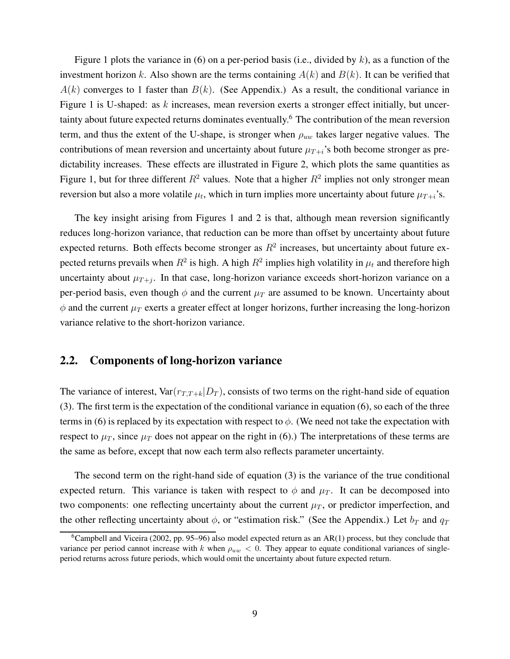Figure 1 plots the variance in (6) on a per-period basis (i.e., divided by  $k$ ), as a function of the investment horizon k. Also shown are the terms containing  $A(k)$  and  $B(k)$ . It can be verified that  $A(k)$  converges to 1 faster than  $B(k)$ . (See Appendix.) As a result, the conditional variance in Figure 1 is U-shaped: as k increases, mean reversion exerts a stronger effect initially, but uncertainty about future expected returns dominates eventually. <sup>6</sup> The contribution of the mean reversion term, and thus the extent of the U-shape, is stronger when  $\rho_{uw}$  takes larger negative values. The contributions of mean reversion and uncertainty about future  $\mu_{T+i}$ 's both become stronger as predictability increases. These effects are illustrated in Figure 2, which plots the same quantities as Figure 1, but for three different  $R^2$  values. Note that a higher  $R^2$  implies not only stronger mean reversion but also a more volatile  $\mu_t$ , which in turn implies more uncertainty about future  $\mu_{T+i}$ 's.

The key insight arising from Figures 1 and 2 is that, although mean reversion significantly reduces long-horizon variance, that reduction can be more than offset by uncertainty about future expected returns. Both effects become stronger as  $R^2$  increases, but uncertainty about future expected returns prevails when  $R^2$  is high. A high  $R^2$  implies high volatility in  $\mu_t$  and therefore high uncertainty about  $\mu_{T+i}$ . In that case, long-horizon variance exceeds short-horizon variance on a per-period basis, even though  $\phi$  and the current  $\mu_T$  are assumed to be known. Uncertainty about  $\phi$  and the current  $\mu_T$  exerts a greater effect at longer horizons, further increasing the long-horizon variance relative to the short-horizon variance.

#### 2.2. Components of long-horizon variance

The variance of interest,  $Var(r_{T,T+k}|D_T)$ , consists of two terms on the right-hand side of equation (3). The first term is the expectation of the conditional variance in equation (6), so each of the three terms in (6) is replaced by its expectation with respect to  $\phi$ . (We need not take the expectation with respect to  $\mu_T$ , since  $\mu_T$  does not appear on the right in (6).) The interpretations of these terms are the same as before, except that now each term also reflects parameter uncertainty.

The second term on the right-hand side of equation (3) is the variance of the true conditional expected return. This variance is taken with respect to  $\phi$  and  $\mu_T$ . It can be decomposed into two components: one reflecting uncertainty about the current  $\mu_T$ , or predictor imperfection, and the other reflecting uncertainty about  $\phi$ , or "estimation risk." (See the Appendix.) Let  $b_T$  and  $q_T$ 

<sup>6</sup>Campbell and Viceira (2002, pp. 95–96) also model expected return as an AR(1) process, but they conclude that variance per period cannot increase with k when  $\rho_{uw} < 0$ . They appear to equate conditional variances of singleperiod returns across future periods, which would omit the uncertainty about future expected return.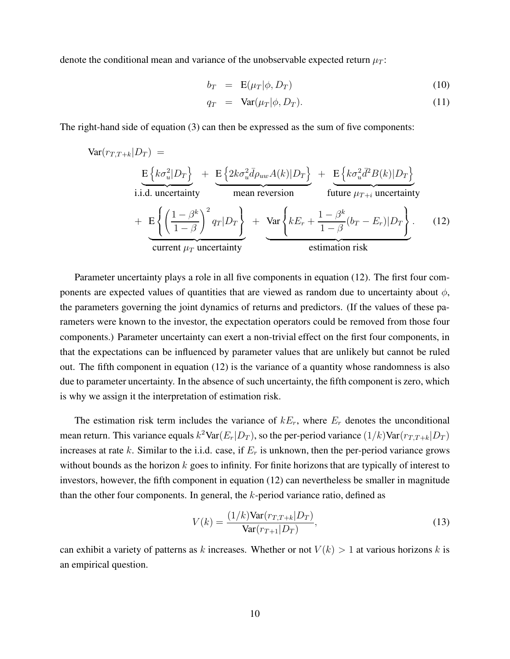denote the conditional mean and variance of the unobservable expected return  $\mu_T$ :

$$
b_T = \mathbf{E}(\mu_T|\phi, D_T) \tag{10}
$$

$$
q_T = \text{Var}(\mu_T | \phi, D_T). \tag{11}
$$

The right-hand side of equation (3) can then be expressed as the sum of five components:

$$
Var(r_{T,T+k}|D_T) =
$$
\n
$$
E\left\{k\sigma_u^2|D_T\right\} + E\left\{2k\sigma_u^2\bar{d}\rho_{uw}A(k)|D_T\right\} + E\left\{k\sigma_u^2\bar{d}^2B(k)|D_T\right\}
$$
\n
$$
+ E\left\{\left(\frac{1-\beta^k}{1-\beta}\right)^2q_T|D_T\right\} + Var\left\{kE_r + \frac{1-\beta^k}{1-\beta}(b_T - E_r)|D_T\right\}.
$$
\n(12)\ncurrent  $\mu_T$  uncertainty\nestimation risk

Parameter uncertainty plays a role in all five components in equation (12). The first four components are expected values of quantities that are viewed as random due to uncertainty about  $\phi$ , the parameters governing the joint dynamics of returns and predictors. (If the values of these parameters were known to the investor, the expectation operators could be removed from those four components.) Parameter uncertainty can exert a non-trivial effect on the first four components, in that the expectations can be influenced by parameter values that are unlikely but cannot be ruled out. The fifth component in equation (12) is the variance of a quantity whose randomness is also due to parameter uncertainty. In the absence of such uncertainty, the fifth component is zero, which is why we assign it the interpretation of estimation risk.

The estimation risk term includes the variance of  $kE_r$ , where  $E_r$  denotes the unconditional mean return. This variance equals  $k^2 \text{Var}(E_r|D_T)$ , so the per-period variance  $(1/k)\text{Var}(r_{T,T+k}|D_T)$ increases at rate k. Similar to the i.i.d. case, if  $E_r$  is unknown, then the per-period variance grows without bounds as the horizon  $k$  goes to infinity. For finite horizons that are typically of interest to investors, however, the fifth component in equation (12) can nevertheless be smaller in magnitude than the other four components. In general, the k-period variance ratio, defined as

$$
V(k) = \frac{(1/k)\text{Var}(r_{T,T+k}|D_T)}{\text{Var}(r_{T+1}|D_T)},
$$
\n(13)

can exhibit a variety of patterns as k increases. Whether or not  $V(k) > 1$  at various horizons k is an empirical question.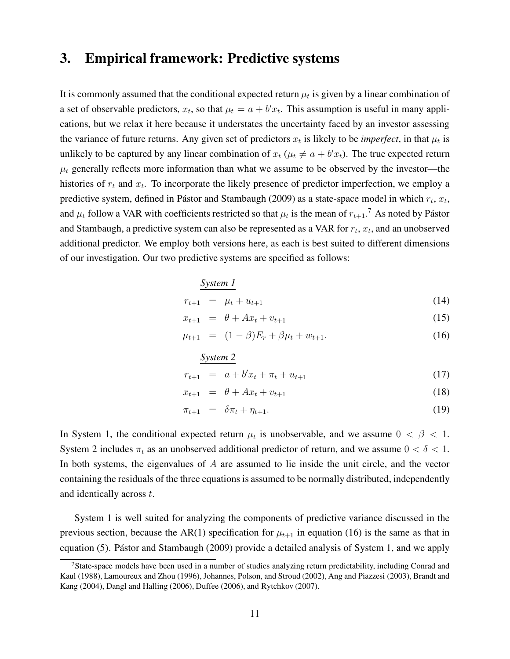# 3. Empirical framework: Predictive systems

It is commonly assumed that the conditional expected return  $\mu_t$  is given by a linear combination of a set of observable predictors,  $x_t$ , so that  $\mu_t = a + b'x_t$ . This assumption is useful in many applications, but we relax it here because it understates the uncertainty faced by an investor assessing the variance of future returns. Any given set of predictors  $x_t$  is likely to be *imperfect*, in that  $\mu_t$  is unlikely to be captured by any linear combination of  $x_t$  ( $\mu_t \neq a + b'x_t$ ). The true expected return  $\mu_t$  generally reflects more information than what we assume to be observed by the investor—the histories of  $r_t$  and  $x_t$ . To incorporate the likely presence of predictor imperfection, we employ a predictive system, defined in Pástor and Stambaugh (2009) as a state-space model in which  $r_t$ ,  $x_t$ , and  $\mu_t$  follow a VAR with coefficients restricted so that  $\mu_t$  is the mean of  $r_{t+1}$ .<sup>7</sup> As noted by Pástor and Stambaugh, a predictive system can also be represented as a VAR for  $r_t$ ,  $x_t$ , and an unobserved additional predictor. We employ both versions here, as each is best suited to different dimensions of our investigation. Our two predictive systems are specified as follows:

### System 1  $r = u_t + u_{t+1}$  (14)

$$
t_{t+1} - \mu_t + u_{t+1} \tag{17}
$$

$$
x_{t+1} = \theta + Ax_t + v_{t+1} \tag{15}
$$

$$
\mu_{t+1} = (1 - \beta)E_r + \beta \mu_t + w_{t+1}.
$$
\n(16)

System 2

$$
r_{t+1} = a + b'x_t + \pi_t + u_{t+1} \tag{17}
$$

$$
x_{t+1} = \theta + Ax_t + v_{t+1} \tag{18}
$$

$$
\pi_{t+1} = \delta \pi_t + \eta_{t+1}.\tag{19}
$$

In System 1, the conditional expected return  $\mu_t$  is unobservable, and we assume  $0 < \beta < 1$ . System 2 includes  $\pi_t$  as an unobserved additional predictor of return, and we assume  $0 < \delta < 1$ . In both systems, the eigenvalues of  $A$  are assumed to lie inside the unit circle, and the vector containing the residuals of the three equations is assumed to be normally distributed, independently and identically across t.

System 1 is well suited for analyzing the components of predictive variance discussed in the previous section, because the AR(1) specification for  $\mu_{t+1}$  in equation (16) is the same as that in equation (5). Pástor and Stambaugh (2009) provide a detailed analysis of System 1, and we apply

<sup>&</sup>lt;sup>7</sup>State-space models have been used in a number of studies analyzing return predictability, including Conrad and Kaul (1988), Lamoureux and Zhou (1996), Johannes, Polson, and Stroud (2002), Ang and Piazzesi (2003), Brandt and Kang (2004), Dangl and Halling (2006), Duffee (2006), and Rytchkov (2007).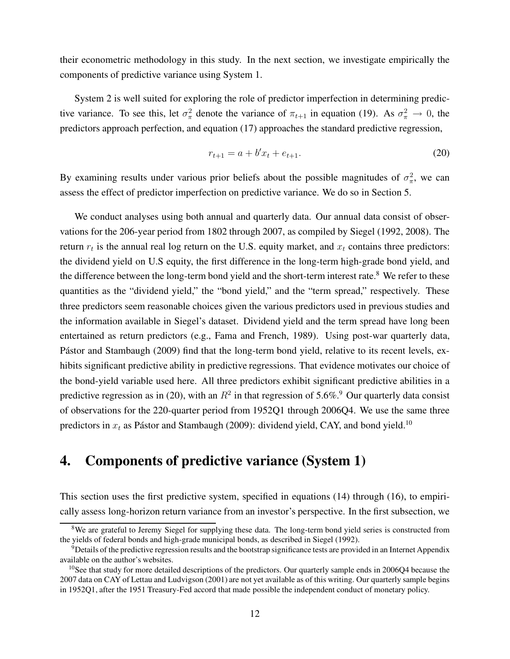their econometric methodology in this study. In the next section, we investigate empirically the components of predictive variance using System 1.

System 2 is well suited for exploring the role of predictor imperfection in determining predictive variance. To see this, let  $\sigma_{\pi}^2$  denote the variance of  $\pi_{t+1}$  in equation (19). As  $\sigma_{\pi}^2 \to 0$ , the predictors approach perfection, and equation (17) approaches the standard predictive regression,

$$
r_{t+1} = a + b'x_t + e_{t+1}.\tag{20}
$$

By examining results under various prior beliefs about the possible magnitudes of  $\sigma_{\pi}^2$ , we can assess the effect of predictor imperfection on predictive variance. We do so in Section 5.

We conduct analyses using both annual and quarterly data. Our annual data consist of observations for the 206-year period from 1802 through 2007, as compiled by Siegel (1992, 2008). The return  $r_t$  is the annual real log return on the U.S. equity market, and  $x_t$  contains three predictors: the dividend yield on U.S equity, the first difference in the long-term high-grade bond yield, and the difference between the long-term bond yield and the short-term interest rate.<sup>8</sup> We refer to these quantities as the "dividend yield," the "bond yield," and the "term spread," respectively. These three predictors seem reasonable choices given the various predictors used in previous studies and the information available in Siegel's dataset. Dividend yield and the term spread have long been entertained as return predictors (e.g., Fama and French, 1989). Using post-war quarterly data, Pástor and Stambaugh (2009) find that the long-term bond yield, relative to its recent levels, exhibits significant predictive ability in predictive regressions. That evidence motivates our choice of the bond-yield variable used here. All three predictors exhibit significant predictive abilities in a predictive regression as in (20), with an  $R^2$  in that regression of 5.6%.<sup>9</sup> Our quarterly data consist of observations for the 220-quarter period from 1952Q1 through 2006Q4. We use the same three predictors in  $x_t$  as Pástor and Stambaugh (2009): dividend yield, CAY, and bond yield.<sup>10</sup>

# 4. Components of predictive variance (System 1)

This section uses the first predictive system, specified in equations (14) through (16), to empirically assess long-horizon return variance from an investor's perspective. In the first subsection, we

<sup>&</sup>lt;sup>8</sup>We are grateful to Jeremy Siegel for supplying these data. The long-term bond yield series is constructed from the yields of federal bonds and high-grade municipal bonds, as described in Siegel (1992).

 $9$  Details of the predictive regression results and the bootstrap significance tests are provided in an Internet Appendix available on the author's websites.

 $10$ See that study for more detailed descriptions of the predictors. Our quarterly sample ends in 2006Q4 because the 2007 data on CAY of Lettau and Ludvigson (2001) are not yet available as of this writing. Our quarterly sample begins in 1952Q1, after the 1951 Treasury-Fed accord that made possible the independent conduct of monetary policy.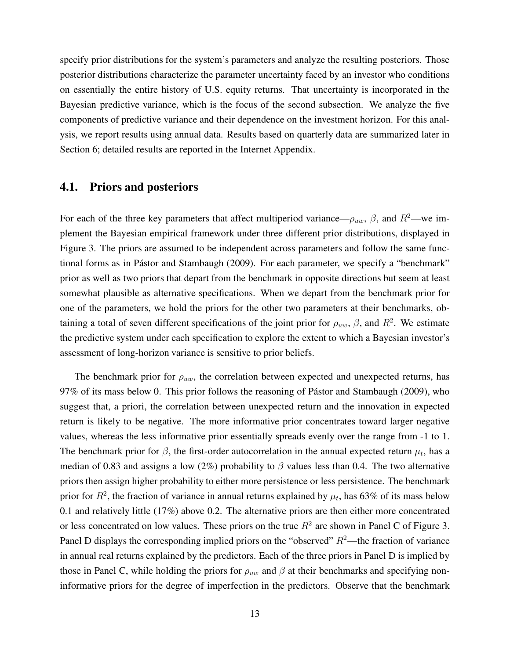specify prior distributions for the system's parameters and analyze the resulting posteriors. Those posterior distributions characterize the parameter uncertainty faced by an investor who conditions on essentially the entire history of U.S. equity returns. That uncertainty is incorporated in the Bayesian predictive variance, which is the focus of the second subsection. We analyze the five components of predictive variance and their dependence on the investment horizon. For this analysis, we report results using annual data. Results based on quarterly data are summarized later in Section 6; detailed results are reported in the Internet Appendix.

#### 4.1. Priors and posteriors

For each of the three key parameters that affect multiperiod variance— $\rho_{uw}$ ,  $\beta$ , and  $R^2$ —we implement the Bayesian empirical framework under three different prior distributions, displayed in Figure 3. The priors are assumed to be independent across parameters and follow the same functional forms as in Pástor and Stambaugh (2009). For each parameter, we specify a "benchmark" prior as well as two priors that depart from the benchmark in opposite directions but seem at least somewhat plausible as alternative specifications. When we depart from the benchmark prior for one of the parameters, we hold the priors for the other two parameters at their benchmarks, obtaining a total of seven different specifications of the joint prior for  $\rho_{uw}$ ,  $\beta$ , and  $R^2$ . We estimate the predictive system under each specification to explore the extent to which a Bayesian investor's assessment of long-horizon variance is sensitive to prior beliefs.

The benchmark prior for  $\rho_{uw}$ , the correlation between expected and unexpected returns, has 97% of its mass below 0. This prior follows the reasoning of Pástor and Stambaugh (2009), who suggest that, a priori, the correlation between unexpected return and the innovation in expected return is likely to be negative. The more informative prior concentrates toward larger negative values, whereas the less informative prior essentially spreads evenly over the range from -1 to 1. The benchmark prior for  $\beta$ , the first-order autocorrelation in the annual expected return  $\mu_t$ , has a median of 0.83 and assigns a low (2%) probability to  $\beta$  values less than 0.4. The two alternative priors then assign higher probability to either more persistence or less persistence. The benchmark prior for  $R^2$ , the fraction of variance in annual returns explained by  $\mu_t$ , has 63% of its mass below 0.1 and relatively little (17%) above 0.2. The alternative priors are then either more concentrated or less concentrated on low values. These priors on the true  $R^2$  are shown in Panel C of Figure 3. Panel D displays the corresponding implied priors on the "observed"  $R^2$ —the fraction of variance in annual real returns explained by the predictors. Each of the three priors in Panel D is implied by those in Panel C, while holding the priors for  $\rho_{uw}$  and  $\beta$  at their benchmarks and specifying noninformative priors for the degree of imperfection in the predictors. Observe that the benchmark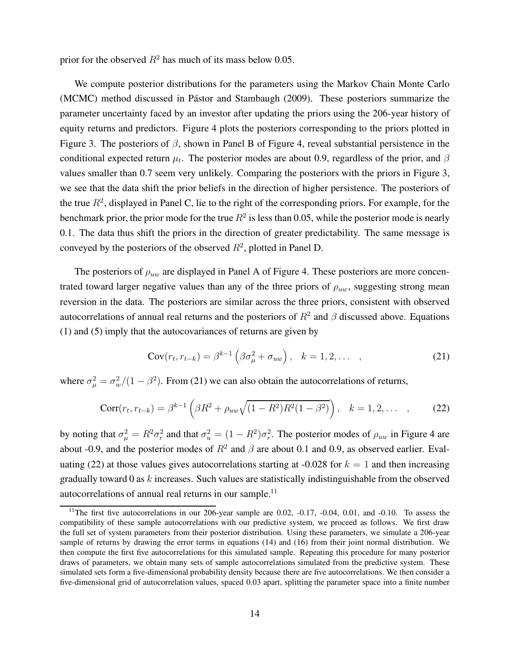prior for the observed  $R^2$  has much of its mass below 0.05.

We compute posterior distributions for the parameters using the Markov Chain Monte Carlo (MCMC) method discussed in Pástor and Stambaugh (2009). These posteriors summarize the parameter uncertainty faced by an investor after updating the priors using the 206-year history of equity returns and predictors. Figure 4 plots the posteriors corresponding to the priors plotted in Figure 3. The posteriors of  $\beta$ , shown in Panel B of Figure 4, reveal substantial persistence in the conditional expected return  $\mu_t$ . The posterior modes are about 0.9, regardless of the prior, and  $\beta$ values smaller than 0.7 seem very unlikely. Comparing the posteriors with the priors in Figure 3, we see that the data shift the prior beliefs in the direction of higher persistence. The posteriors of the true  $R^2$ , displayed in Panel C, lie to the right of the corresponding priors. For example, for the benchmark prior, the prior mode for the true  $R^2$  is less than 0.05, while the posterior mode is nearly 0.1. The data thus shift the priors in the direction of greater predictability. The same message is conveyed by the posteriors of the observed  $R^2$ , plotted in Panel D.

The posteriors of  $\rho_{uw}$  are displayed in Panel A of Figure 4. These posteriors are more concentrated toward larger negative values than any of the three priors of  $\rho_{uw}$ , suggesting strong mean reversion in the data. The posteriors are similar across the three priors, consistent with observed autocorrelations of annual real returns and the posteriors of  $R^2$  and  $\beta$  discussed above. Equations (1) and (5) imply that the autocovariances of returns are given by

$$
\operatorname{Cov}(r_t, r_{t-k}) = \beta^{k-1} \left( \beta \sigma_\mu^2 + \sigma_{uw} \right), \quad k = 1, 2, \dots \quad , \tag{21}
$$

where  $\sigma_{\mu}^2 = \sigma_w^2/(1-\beta^2)$ . From (21) we can also obtain the autocorrelations of returns,

$$
Corr(r_t, r_{t-k}) = \beta^{k-1} \left( \beta R^2 + \rho_{uw} \sqrt{(1 - R^2)R^2(1 - \beta^2)} \right), \quad k = 1, 2, \dots \quad , \tag{22}
$$

by noting that  $\sigma_{\mu}^2 = R^2 \sigma_r^2$  and that  $\sigma_u^2 = (1 - R^2) \sigma_r^2$ . The posterior modes of  $\rho_{uw}$  in Figure 4 are about -0.9, and the posterior modes of  $R^2$  and  $\beta$  are about 0.1 and 0.9, as observed earlier. Evaluating (22) at those values gives autocorrelations starting at -0.028 for  $k = 1$  and then increasing gradually toward 0 as  $k$  increases. Such values are statistically indistinguishable from the observed autocorrelations of annual real returns in our sample.<sup>11</sup>

<sup>&</sup>lt;sup>11</sup>The first five autocorrelations in our 206-year sample are 0.02, -0.17, -0.04, 0.01, and -0.10. To assess the compatibility of these sample autocorrelations with our predictive system, we proceed as follows. We first draw the full set of system parameters from their posterior distribution. Using these parameters, we simulate a 206-year sample of returns by drawing the error terms in equations (14) and (16) from their joint normal distribution. We then compute the first five autocorrelations for this simulated sample. Repeating this procedure for many posterior draws of parameters, we obtain many sets of sample autocorrelations simulated from the predictive system. These simulated sets form a five-dimensional probability density because there are five autocorrelations. We then consider a five-dimensional grid of autocorrelation values, spaced 0.03 apart, splitting the parameter space into a finite number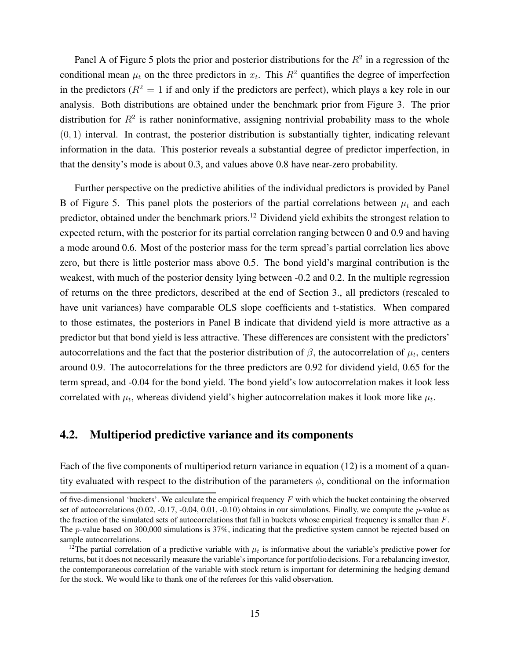Panel A of Figure 5 plots the prior and posterior distributions for the  $R^2$  in a regression of the conditional mean  $\mu_t$  on the three predictors in  $x_t$ . This  $R^2$  quantifies the degree of imperfection in the predictors ( $R^2 = 1$  if and only if the predictors are perfect), which plays a key role in our analysis. Both distributions are obtained under the benchmark prior from Figure 3. The prior distribution for  $R^2$  is rather noninformative, assigning nontrivial probability mass to the whole  $(0, 1)$  interval. In contrast, the posterior distribution is substantially tighter, indicating relevant information in the data. This posterior reveals a substantial degree of predictor imperfection, in that the density's mode is about 0.3, and values above 0.8 have near-zero probability.

Further perspective on the predictive abilities of the individual predictors is provided by Panel B of Figure 5. This panel plots the posteriors of the partial correlations between  $\mu_t$  and each predictor, obtained under the benchmark priors.<sup>12</sup> Dividend yield exhibits the strongest relation to expected return, with the posterior for its partial correlation ranging between 0 and 0.9 and having a mode around 0.6. Most of the posterior mass for the term spread's partial correlation lies above zero, but there is little posterior mass above 0.5. The bond yield's marginal contribution is the weakest, with much of the posterior density lying between -0.2 and 0.2. In the multiple regression of returns on the three predictors, described at the end of Section 3., all predictors (rescaled to have unit variances) have comparable OLS slope coefficients and t-statistics. When compared to those estimates, the posteriors in Panel B indicate that dividend yield is more attractive as a predictor but that bond yield is less attractive. These differences are consistent with the predictors' autocorrelations and the fact that the posterior distribution of  $\beta$ , the autocorrelation of  $\mu_t$ , centers around 0.9. The autocorrelations for the three predictors are 0.92 for dividend yield, 0.65 for the term spread, and -0.04 for the bond yield. The bond yield's low autocorrelation makes it look less correlated with  $\mu_t$ , whereas dividend yield's higher autocorrelation makes it look more like  $\mu_t$ .

#### 4.2. Multiperiod predictive variance and its components

Each of the five components of multiperiod return variance in equation (12) is a moment of a quantity evaluated with respect to the distribution of the parameters  $\phi$ , conditional on the information

of five-dimensional 'buckets'. We calculate the empirical frequency  $F$  with which the bucket containing the observed set of autocorrelations  $(0.02, -0.17, -0.04, 0.01, -0.10)$  obtains in our simulations. Finally, we compute the *p*-value as the fraction of the simulated sets of autocorrelations that fall in buckets whose empirical frequency is smaller than  $F$ . The p-value based on 300,000 simulations is 37%, indicating that the predictive system cannot be rejected based on sample autocorrelations.

<sup>&</sup>lt;sup>12</sup>The partial correlation of a predictive variable with  $\mu_t$  is informative about the variable's predictive power for returns, but it does not necessarily measure the variable'simportance for portfolio decisions. For a rebalancing investor, the contemporaneous correlation of the variable with stock return is important for determining the hedging demand for the stock. We would like to thank one of the referees for this valid observation.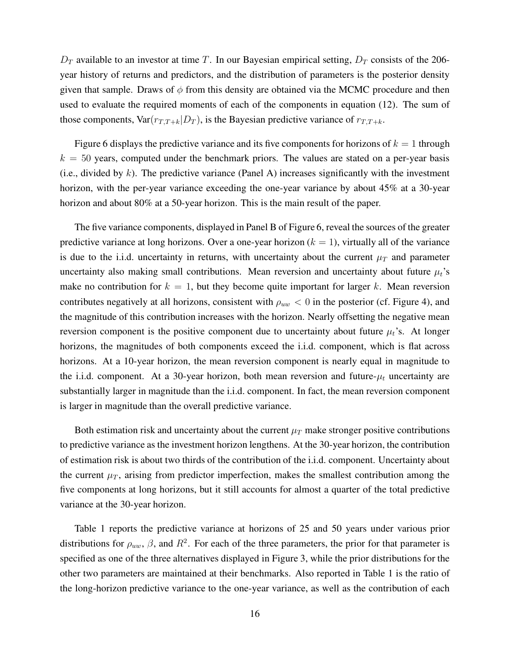$D_T$  available to an investor at time T. In our Bayesian empirical setting,  $D_T$  consists of the 206year history of returns and predictors, and the distribution of parameters is the posterior density given that sample. Draws of  $\phi$  from this density are obtained via the MCMC procedure and then used to evaluate the required moments of each of the components in equation (12). The sum of those components,  $Var(r_{T,T+k}|D_T)$ , is the Bayesian predictive variance of  $r_{T,T+k}$ .

Figure 6 displays the predictive variance and its five components for horizons of  $k = 1$  through  $k = 50$  years, computed under the benchmark priors. The values are stated on a per-year basis (i.e., divided by  $k$ ). The predictive variance (Panel A) increases significantly with the investment horizon, with the per-year variance exceeding the one-year variance by about 45% at a 30-year horizon and about 80% at a 50-year horizon. This is the main result of the paper.

The five variance components, displayed in Panel B of Figure 6, reveal the sources of the greater predictive variance at long horizons. Over a one-year horizon  $(k = 1)$ , virtually all of the variance is due to the i.i.d. uncertainty in returns, with uncertainty about the current  $\mu_T$  and parameter uncertainty also making small contributions. Mean reversion and uncertainty about future  $\mu_t$ 's make no contribution for  $k = 1$ , but they become quite important for larger k. Mean reversion contributes negatively at all horizons, consistent with  $\rho_{uw} < 0$  in the posterior (cf. Figure 4), and the magnitude of this contribution increases with the horizon. Nearly offsetting the negative mean reversion component is the positive component due to uncertainty about future  $\mu_t$ 's. At longer horizons, the magnitudes of both components exceed the i.i.d. component, which is flat across horizons. At a 10-year horizon, the mean reversion component is nearly equal in magnitude to the i.i.d. component. At a 30-year horizon, both mean reversion and future- $\mu_t$  uncertainty are substantially larger in magnitude than the i.i.d. component. In fact, the mean reversion component is larger in magnitude than the overall predictive variance.

Both estimation risk and uncertainty about the current  $\mu_T$  make stronger positive contributions to predictive variance as the investment horizon lengthens. At the 30-year horizon, the contribution of estimation risk is about two thirds of the contribution of the i.i.d. component. Uncertainty about the current  $\mu_T$ , arising from predictor imperfection, makes the smallest contribution among the five components at long horizons, but it still accounts for almost a quarter of the total predictive variance at the 30-year horizon.

Table 1 reports the predictive variance at horizons of 25 and 50 years under various prior distributions for  $\rho_{uw}$ ,  $\beta$ , and  $R^2$ . For each of the three parameters, the prior for that parameter is specified as one of the three alternatives displayed in Figure 3, while the prior distributions for the other two parameters are maintained at their benchmarks. Also reported in Table 1 is the ratio of the long-horizon predictive variance to the one-year variance, as well as the contribution of each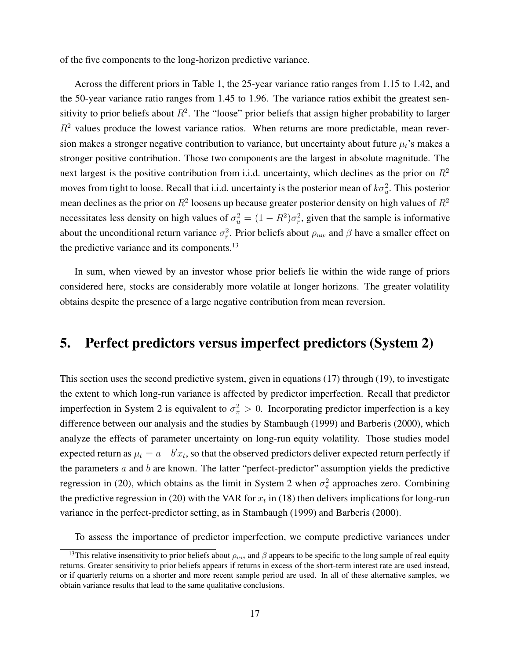of the five components to the long-horizon predictive variance.

Across the different priors in Table 1, the 25-year variance ratio ranges from 1.15 to 1.42, and the 50-year variance ratio ranges from 1.45 to 1.96. The variance ratios exhibit the greatest sensitivity to prior beliefs about  $R^2$ . The "loose" prior beliefs that assign higher probability to larger  $R<sup>2</sup>$  values produce the lowest variance ratios. When returns are more predictable, mean reversion makes a stronger negative contribution to variance, but uncertainty about future  $\mu_t$ 's makes a stronger positive contribution. Those two components are the largest in absolute magnitude. The next largest is the positive contribution from i.i.d. uncertainty, which declines as the prior on  $R^2$ moves from tight to loose. Recall that i.i.d. uncertainty is the posterior mean of  $k\sigma_u^2$ . This posterior mean declines as the prior on  $R^2$  loosens up because greater posterior density on high values of  $R^2$ necessitates less density on high values of  $\sigma_u^2 = (1 - R^2)\sigma_r^2$ , given that the sample is informative about the unconditional return variance  $\sigma_r^2$ . Prior beliefs about  $\rho_{uw}$  and  $\beta$  have a smaller effect on the predictive variance and its components.<sup>13</sup>

In sum, when viewed by an investor whose prior beliefs lie within the wide range of priors considered here, stocks are considerably more volatile at longer horizons. The greater volatility obtains despite the presence of a large negative contribution from mean reversion.

### 5. Perfect predictors versus imperfect predictors (System 2)

This section uses the second predictive system, given in equations (17) through (19), to investigate the extent to which long-run variance is affected by predictor imperfection. Recall that predictor imperfection in System 2 is equivalent to  $\sigma_{\pi}^2 > 0$ . Incorporating predictor imperfection is a key difference between our analysis and the studies by Stambaugh (1999) and Barberis (2000), which analyze the effects of parameter uncertainty on long-run equity volatility. Those studies model expected return as  $\mu_t = a + b'x_t$ , so that the observed predictors deliver expected return perfectly if the parameters  $a$  and  $b$  are known. The latter "perfect-predictor" assumption yields the predictive regression in (20), which obtains as the limit in System 2 when  $\sigma_{\pi}^2$  approaches zero. Combining the predictive regression in (20) with the VAR for  $x_t$  in (18) then delivers implications for long-run variance in the perfect-predictor setting, as in Stambaugh (1999) and Barberis (2000).

To assess the importance of predictor imperfection, we compute predictive variances under

<sup>&</sup>lt;sup>13</sup>This relative insensitivity to prior beliefs about  $\rho_{uw}$  and  $\beta$  appears to be specific to the long sample of real equity returns. Greater sensitivity to prior beliefs appears if returns in excess of the short-term interest rate are used instead, or if quarterly returns on a shorter and more recent sample period are used. In all of these alternative samples, we obtain variance results that lead to the same qualitative conclusions.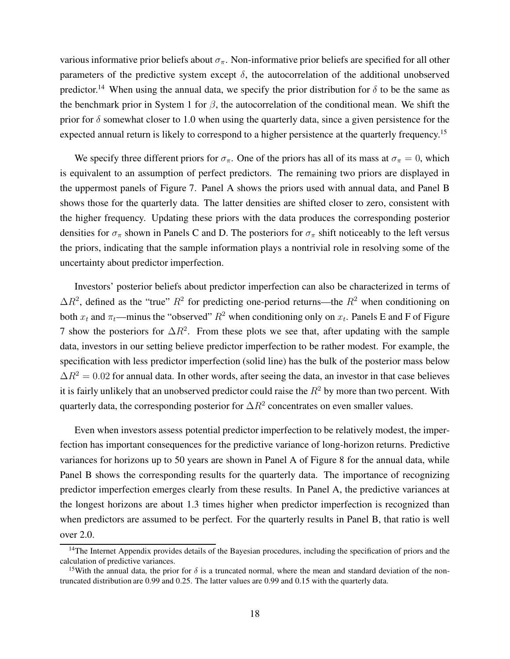various informative prior beliefs about  $\sigma_{\pi}$ . Non-informative prior beliefs are specified for all other parameters of the predictive system except  $\delta$ , the autocorrelation of the additional unobserved predictor.<sup>14</sup> When using the annual data, we specify the prior distribution for  $\delta$  to be the same as the benchmark prior in System 1 for  $\beta$ , the autocorrelation of the conditional mean. We shift the prior for  $\delta$  somewhat closer to 1.0 when using the quarterly data, since a given persistence for the expected annual return is likely to correspond to a higher persistence at the quarterly frequency.<sup>15</sup>

We specify three different priors for  $\sigma_{\pi}$ . One of the priors has all of its mass at  $\sigma_{\pi} = 0$ , which is equivalent to an assumption of perfect predictors. The remaining two priors are displayed in the uppermost panels of Figure 7. Panel A shows the priors used with annual data, and Panel B shows those for the quarterly data. The latter densities are shifted closer to zero, consistent with the higher frequency. Updating these priors with the data produces the corresponding posterior densities for  $\sigma_{\pi}$  shown in Panels C and D. The posteriors for  $\sigma_{\pi}$  shift noticeably to the left versus the priors, indicating that the sample information plays a nontrivial role in resolving some of the uncertainty about predictor imperfection.

Investors' posterior beliefs about predictor imperfection can also be characterized in terms of  $\Delta R^2$ , defined as the "true"  $R^2$  for predicting one-period returns—the  $R^2$  when conditioning on both  $x_t$  and  $\pi_t$ —minus the "observed"  $R^2$  when conditioning only on  $x_t$ . Panels E and F of Figure 7 show the posteriors for  $\Delta R^2$ . From these plots we see that, after updating with the sample data, investors in our setting believe predictor imperfection to be rather modest. For example, the specification with less predictor imperfection (solid line) has the bulk of the posterior mass below  $\Delta R^2 = 0.02$  for annual data. In other words, after seeing the data, an investor in that case believes it is fairly unlikely that an unobserved predictor could raise the  $R<sup>2</sup>$  by more than two percent. With quarterly data, the corresponding posterior for  $\Delta R^2$  concentrates on even smaller values.

Even when investors assess potential predictor imperfection to be relatively modest, the imperfection has important consequences for the predictive variance of long-horizon returns. Predictive variances for horizons up to 50 years are shown in Panel A of Figure 8 for the annual data, while Panel B shows the corresponding results for the quarterly data. The importance of recognizing predictor imperfection emerges clearly from these results. In Panel A, the predictive variances at the longest horizons are about 1.3 times higher when predictor imperfection is recognized than when predictors are assumed to be perfect. For the quarterly results in Panel B, that ratio is well over 2.0.

 $14$ The Internet Appendix provides details of the Bayesian procedures, including the specification of priors and the calculation of predictive variances.

<sup>&</sup>lt;sup>15</sup>With the annual data, the prior for  $\delta$  is a truncated normal, where the mean and standard deviation of the nontruncated distribution are 0.99 and 0.25. The latter values are 0.99 and 0.15 with the quarterly data.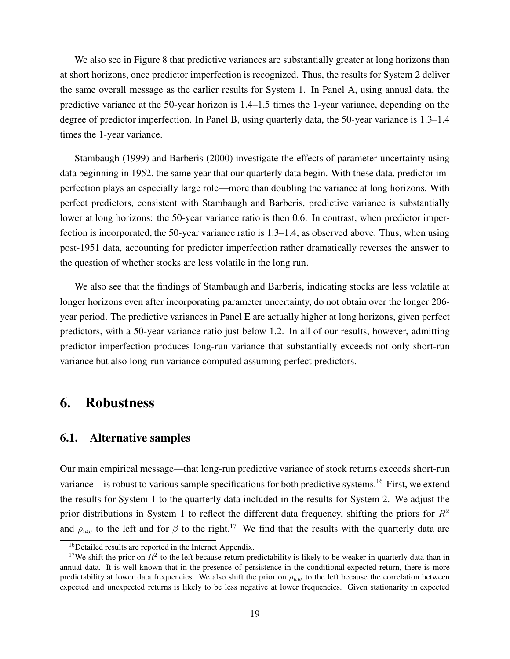We also see in Figure 8 that predictive variances are substantially greater at long horizons than at short horizons, once predictor imperfection is recognized. Thus, the results for System 2 deliver the same overall message as the earlier results for System 1. In Panel A, using annual data, the predictive variance at the 50-year horizon is 1.4–1.5 times the 1-year variance, depending on the degree of predictor imperfection. In Panel B, using quarterly data, the 50-year variance is 1.3–1.4 times the 1-year variance.

Stambaugh (1999) and Barberis (2000) investigate the effects of parameter uncertainty using data beginning in 1952, the same year that our quarterly data begin. With these data, predictor imperfection plays an especially large role—more than doubling the variance at long horizons. With perfect predictors, consistent with Stambaugh and Barberis, predictive variance is substantially lower at long horizons: the 50-year variance ratio is then 0.6. In contrast, when predictor imperfection is incorporated, the 50-year variance ratio is 1.3–1.4, as observed above. Thus, when using post-1951 data, accounting for predictor imperfection rather dramatically reverses the answer to the question of whether stocks are less volatile in the long run.

We also see that the findings of Stambaugh and Barberis, indicating stocks are less volatile at longer horizons even after incorporating parameter uncertainty, do not obtain over the longer 206 year period. The predictive variances in Panel E are actually higher at long horizons, given perfect predictors, with a 50-year variance ratio just below 1.2. In all of our results, however, admitting predictor imperfection produces long-run variance that substantially exceeds not only short-run variance but also long-run variance computed assuming perfect predictors.

### 6. Robustness

#### 6.1. Alternative samples

Our main empirical message—that long-run predictive variance of stock returns exceeds short-run variance—is robust to various sample specifications for both predictive systems.<sup>16</sup> First, we extend the results for System 1 to the quarterly data included in the results for System 2. We adjust the prior distributions in System 1 to reflect the different data frequency, shifting the priors for  $R^2$ and  $\rho_{uw}$  to the left and for  $\beta$  to the right.<sup>17</sup> We find that the results with the quarterly data are

<sup>16</sup>Detailed results are reported in the Internet Appendix.

<sup>&</sup>lt;sup>17</sup>We shift the prior on  $R^2$  to the left because return predictability is likely to be weaker in quarterly data than in annual data. It is well known that in the presence of persistence in the conditional expected return, there is more predictability at lower data frequencies. We also shift the prior on  $\rho_{uw}$  to the left because the correlation between expected and unexpected returns is likely to be less negative at lower frequencies. Given stationarity in expected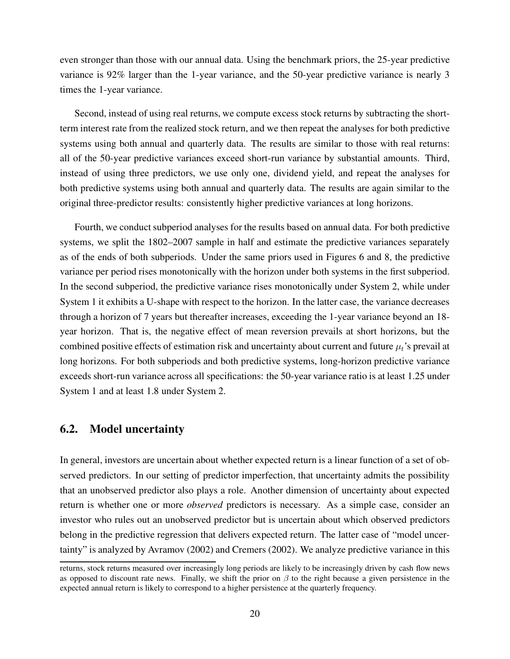even stronger than those with our annual data. Using the benchmark priors, the 25-year predictive variance is 92% larger than the 1-year variance, and the 50-year predictive variance is nearly 3 times the 1-year variance.

Second, instead of using real returns, we compute excess stock returns by subtracting the shortterm interest rate from the realized stock return, and we then repeat the analyses for both predictive systems using both annual and quarterly data. The results are similar to those with real returns: all of the 50-year predictive variances exceed short-run variance by substantial amounts. Third, instead of using three predictors, we use only one, dividend yield, and repeat the analyses for both predictive systems using both annual and quarterly data. The results are again similar to the original three-predictor results: consistently higher predictive variances at long horizons.

Fourth, we conduct subperiod analyses for the results based on annual data. For both predictive systems, we split the 1802–2007 sample in half and estimate the predictive variances separately as of the ends of both subperiods. Under the same priors used in Figures 6 and 8, the predictive variance per period rises monotonically with the horizon under both systems in the first subperiod. In the second subperiod, the predictive variance rises monotonically under System 2, while under System 1 it exhibits a U-shape with respect to the horizon. In the latter case, the variance decreases through a horizon of 7 years but thereafter increases, exceeding the 1-year variance beyond an 18 year horizon. That is, the negative effect of mean reversion prevails at short horizons, but the combined positive effects of estimation risk and uncertainty about current and future  $\mu_t$ 's prevail at long horizons. For both subperiods and both predictive systems, long-horizon predictive variance exceeds short-run variance across all specifications: the 50-year variance ratio is at least 1.25 under System 1 and at least 1.8 under System 2.

#### 6.2. Model uncertainty

In general, investors are uncertain about whether expected return is a linear function of a set of observed predictors. In our setting of predictor imperfection, that uncertainty admits the possibility that an unobserved predictor also plays a role. Another dimension of uncertainty about expected return is whether one or more *observed* predictors is necessary. As a simple case, consider an investor who rules out an unobserved predictor but is uncertain about which observed predictors belong in the predictive regression that delivers expected return. The latter case of "model uncertainty" is analyzed by Avramov (2002) and Cremers (2002). We analyze predictive variance in this

returns, stock returns measured over increasingly long periods are likely to be increasingly driven by cash flow news as opposed to discount rate news. Finally, we shift the prior on  $\beta$  to the right because a given persistence in the expected annual return is likely to correspond to a higher persistence at the quarterly frequency.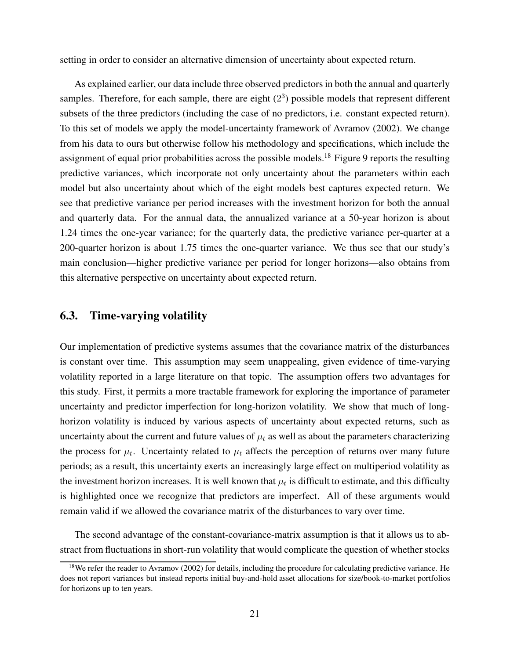setting in order to consider an alternative dimension of uncertainty about expected return.

As explained earlier, our data include three observed predictors in both the annual and quarterly samples. Therefore, for each sample, there are eight  $(2<sup>3</sup>)$  possible models that represent different subsets of the three predictors (including the case of no predictors, i.e. constant expected return). To this set of models we apply the model-uncertainty framework of Avramov (2002). We change from his data to ours but otherwise follow his methodology and specifications, which include the assignment of equal prior probabilities across the possible models.<sup>18</sup> Figure 9 reports the resulting predictive variances, which incorporate not only uncertainty about the parameters within each model but also uncertainty about which of the eight models best captures expected return. We see that predictive variance per period increases with the investment horizon for both the annual and quarterly data. For the annual data, the annualized variance at a 50-year horizon is about 1.24 times the one-year variance; for the quarterly data, the predictive variance per-quarter at a 200-quarter horizon is about 1.75 times the one-quarter variance. We thus see that our study's main conclusion—higher predictive variance per period for longer horizons—also obtains from this alternative perspective on uncertainty about expected return.

#### 6.3. Time-varying volatility

Our implementation of predictive systems assumes that the covariance matrix of the disturbances is constant over time. This assumption may seem unappealing, given evidence of time-varying volatility reported in a large literature on that topic. The assumption offers two advantages for this study. First, it permits a more tractable framework for exploring the importance of parameter uncertainty and predictor imperfection for long-horizon volatility. We show that much of longhorizon volatility is induced by various aspects of uncertainty about expected returns, such as uncertainty about the current and future values of  $\mu_t$  as well as about the parameters characterizing the process for  $\mu_t$ . Uncertainty related to  $\mu_t$  affects the perception of returns over many future periods; as a result, this uncertainty exerts an increasingly large effect on multiperiod volatility as the investment horizon increases. It is well known that  $\mu_t$  is difficult to estimate, and this difficulty is highlighted once we recognize that predictors are imperfect. All of these arguments would remain valid if we allowed the covariance matrix of the disturbances to vary over time.

The second advantage of the constant-covariance-matrix assumption is that it allows us to abstract from fluctuations in short-run volatility that would complicate the question of whether stocks

 $18$ We refer the reader to Avramov (2002) for details, including the procedure for calculating predictive variance. He does not report variances but instead reports initial buy-and-hold asset allocations for size/book-to-market portfolios for horizons up to ten years.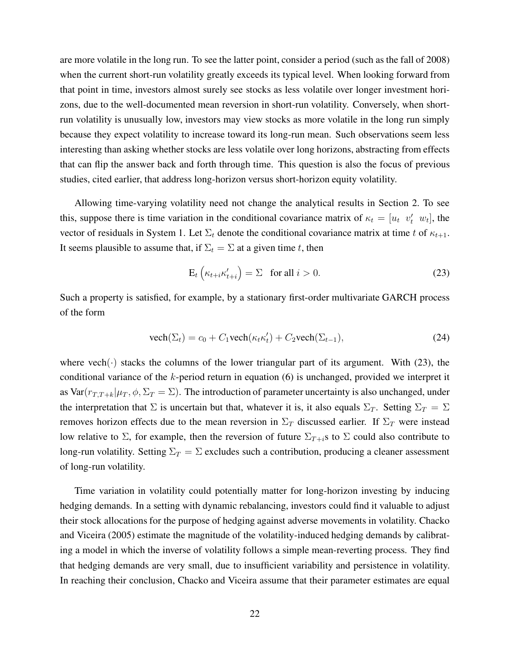are more volatile in the long run. To see the latter point, consider a period (such as the fall of 2008) when the current short-run volatility greatly exceeds its typical level. When looking forward from that point in time, investors almost surely see stocks as less volatile over longer investment horizons, due to the well-documented mean reversion in short-run volatility. Conversely, when shortrun volatility is unusually low, investors may view stocks as more volatile in the long run simply because they expect volatility to increase toward its long-run mean. Such observations seem less interesting than asking whether stocks are less volatile over long horizons, abstracting from effects that can flip the answer back and forth through time. This question is also the focus of previous studies, cited earlier, that address long-horizon versus short-horizon equity volatility.

Allowing time-varying volatility need not change the analytical results in Section 2. To see this, suppose there is time variation in the conditional covariance matrix of  $\kappa_t = [u_t \ v'_t \ w_t]$ , the vector of residuals in System 1. Let  $\Sigma_t$  denote the conditional covariance matrix at time t of  $\kappa_{t+1}$ . It seems plausible to assume that, if  $\Sigma_t = \Sigma$  at a given time t, then

$$
E_t\left(\kappa_{t+i}\kappa'_{t+i}\right) = \Sigma \quad \text{for all } i > 0. \tag{23}
$$

Such a property is satisfied, for example, by a stationary first-order multivariate GARCH process of the form

$$
\text{vech}(\Sigma_t) = c_0 + C_1 \text{vech}(\kappa_t \kappa'_t) + C_2 \text{vech}(\Sigma_{t-1}),\tag{24}
$$

where vech( $\cdot$ ) stacks the columns of the lower triangular part of its argument. With (23), the conditional variance of the k-period return in equation (6) is unchanged, provided we interpret it as  $\text{Var}(r_{T,T+k}|\mu_T, \phi, \Sigma_T = \Sigma)$ . The introduction of parameter uncertainty is also unchanged, under the interpretation that  $\Sigma$  is uncertain but that, whatever it is, it also equals  $\Sigma_T$ . Setting  $\Sigma_T = \Sigma$ removes horizon effects due to the mean reversion in  $\Sigma_T$  discussed earlier. If  $\Sigma_T$  were instead low relative to Σ, for example, then the reversion of future  $\Sigma_{T+i}$ s to Σ could also contribute to long-run volatility. Setting  $\Sigma_T = \Sigma$  excludes such a contribution, producing a cleaner assessment of long-run volatility.

Time variation in volatility could potentially matter for long-horizon investing by inducing hedging demands. In a setting with dynamic rebalancing, investors could find it valuable to adjust their stock allocations for the purpose of hedging against adverse movements in volatility. Chacko and Viceira (2005) estimate the magnitude of the volatility-induced hedging demands by calibrating a model in which the inverse of volatility follows a simple mean-reverting process. They find that hedging demands are very small, due to insufficient variability and persistence in volatility. In reaching their conclusion, Chacko and Viceira assume that their parameter estimates are equal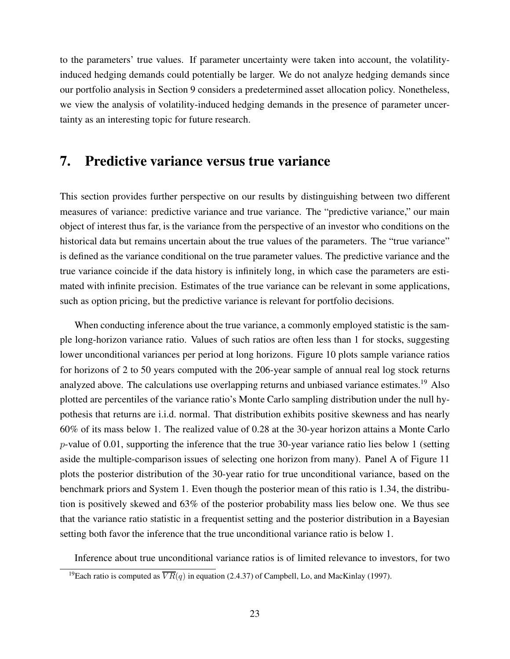to the parameters' true values. If parameter uncertainty were taken into account, the volatilityinduced hedging demands could potentially be larger. We do not analyze hedging demands since our portfolio analysis in Section 9 considers a predetermined asset allocation policy. Nonetheless, we view the analysis of volatility-induced hedging demands in the presence of parameter uncertainty as an interesting topic for future research.

# 7. Predictive variance versus true variance

This section provides further perspective on our results by distinguishing between two different measures of variance: predictive variance and true variance. The "predictive variance," our main object of interest thus far, is the variance from the perspective of an investor who conditions on the historical data but remains uncertain about the true values of the parameters. The "true variance" is defined as the variance conditional on the true parameter values. The predictive variance and the true variance coincide if the data history is infinitely long, in which case the parameters are estimated with infinite precision. Estimates of the true variance can be relevant in some applications, such as option pricing, but the predictive variance is relevant for portfolio decisions.

When conducting inference about the true variance, a commonly employed statistic is the sample long-horizon variance ratio. Values of such ratios are often less than 1 for stocks, suggesting lower unconditional variances per period at long horizons. Figure 10 plots sample variance ratios for horizons of 2 to 50 years computed with the 206-year sample of annual real log stock returns analyzed above. The calculations use overlapping returns and unbiased variance estimates.<sup>19</sup> Also plotted are percentiles of the variance ratio's Monte Carlo sampling distribution under the null hypothesis that returns are i.i.d. normal. That distribution exhibits positive skewness and has nearly 60% of its mass below 1. The realized value of 0.28 at the 30-year horizon attains a Monte Carlo p-value of 0.01, supporting the inference that the true 30-year variance ratio lies below 1 (setting aside the multiple-comparison issues of selecting one horizon from many). Panel A of Figure 11 plots the posterior distribution of the 30-year ratio for true unconditional variance, based on the benchmark priors and System 1. Even though the posterior mean of this ratio is 1.34, the distribution is positively skewed and 63% of the posterior probability mass lies below one. We thus see that the variance ratio statistic in a frequentist setting and the posterior distribution in a Bayesian setting both favor the inference that the true unconditional variance ratio is below 1.

Inference about true unconditional variance ratios is of limited relevance to investors, for two

<sup>&</sup>lt;sup>19</sup>Each ratio is computed as  $\overline{VR}(q)$  in equation (2.4.37) of Campbell, Lo, and MacKinlay (1997).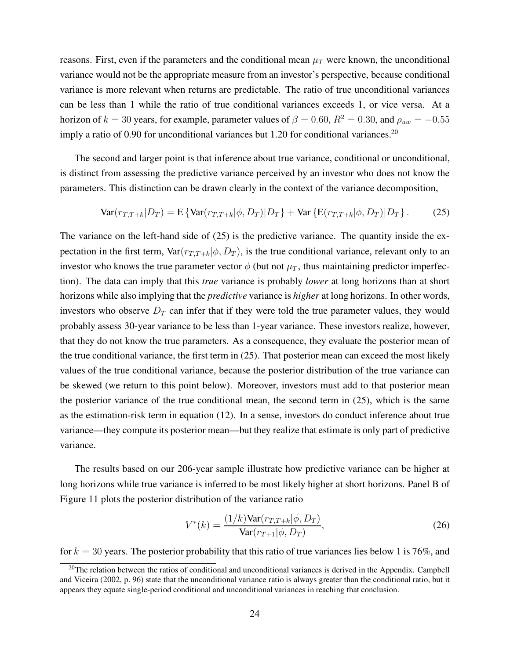reasons. First, even if the parameters and the conditional mean  $\mu_T$  were known, the unconditional variance would not be the appropriate measure from an investor's perspective, because conditional variance is more relevant when returns are predictable. The ratio of true unconditional variances can be less than 1 while the ratio of true conditional variances exceeds 1, or vice versa. At a horizon of  $k = 30$  years, for example, parameter values of  $\beta = 0.60$ ,  $R^2 = 0.30$ , and  $\rho_{uw} = -0.55$ imply a ratio of 0.90 for unconditional variances but 1.20 for conditional variances.<sup>20</sup>

The second and larger point is that inference about true variance, conditional or unconditional, is distinct from assessing the predictive variance perceived by an investor who does not know the parameters. This distinction can be drawn clearly in the context of the variance decomposition,

$$
Var(r_{T,T+k}|D_T) = E\left\{Var(r_{T,T+k}|\phi, D_T)|D_T\right\} + Var\left\{E(r_{T,T+k}|\phi, D_T)|D_T\right\}.
$$
 (25)

The variance on the left-hand side of (25) is the predictive variance. The quantity inside the expectation in the first term,  $\text{Var}(r_{T,T+k}|\phi, D_T)$ , is the true conditional variance, relevant only to an investor who knows the true parameter vector  $\phi$  (but not  $\mu_T$ , thus maintaining predictor imperfection). The data can imply that this true variance is probably lower at long horizons than at short horizons while also implying that the *predictive* variance is *higher* at long horizons. In other words, investors who observe  $D_T$  can infer that if they were told the true parameter values, they would probably assess 30-year variance to be less than 1-year variance. These investors realize, however, that they do not know the true parameters. As a consequence, they evaluate the posterior mean of the true conditional variance, the first term in (25). That posterior mean can exceed the most likely values of the true conditional variance, because the posterior distribution of the true variance can be skewed (we return to this point below). Moreover, investors must add to that posterior mean the posterior variance of the true conditional mean, the second term in (25), which is the same as the estimation-risk term in equation (12). In a sense, investors do conduct inference about true variance—they compute its posterior mean—but they realize that estimate is only part of predictive variance.

The results based on our 206-year sample illustrate how predictive variance can be higher at long horizons while true variance is inferred to be most likely higher at short horizons. Panel B of Figure 11 plots the posterior distribution of the variance ratio

$$
V^*(k) = \frac{(1/k)\text{Var}(r_{T,T+k}|\phi, D_T)}{\text{Var}(r_{T+1}|\phi, D_T)},
$$
\n(26)

for  $k = 30$  years. The posterior probability that this ratio of true variances lies below 1 is 76%, and

 $^{20}$ The relation between the ratios of conditional and unconditional variances is derived in the Appendix. Campbell and Viceira (2002, p. 96) state that the unconditional variance ratio is always greater than the conditional ratio, but it appears they equate single-period conditional and unconditional variances in reaching that conclusion.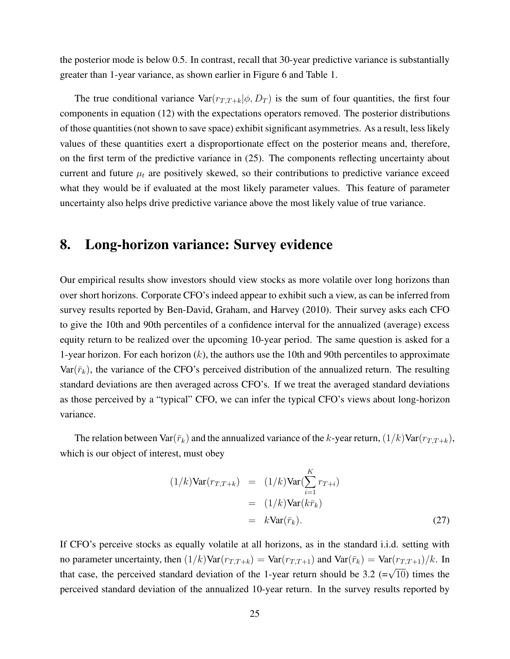the posterior mode is below 0.5. In contrast, recall that 30-year predictive variance is substantially greater than 1-year variance, as shown earlier in Figure 6 and Table 1.

The true conditional variance  $\text{Var}(r_{T,T+k}|\phi, D_T)$  is the sum of four quantities, the first four components in equation (12) with the expectations operators removed. The posterior distributions of those quantities (not shown to save space) exhibit significant asymmetries. As a result, less likely values of these quantities exert a disproportionate effect on the posterior means and, therefore, on the first term of the predictive variance in (25). The components reflecting uncertainty about current and future  $\mu_t$  are positively skewed, so their contributions to predictive variance exceed what they would be if evaluated at the most likely parameter values. This feature of parameter uncertainty also helps drive predictive variance above the most likely value of true variance.

## 8. Long-horizon variance: Survey evidence

Our empirical results show investors should view stocks as more volatile over long horizons than over short horizons. Corporate CFO's indeed appear to exhibit such a view, as can be inferred from survey results reported by Ben-David, Graham, and Harvey (2010). Their survey asks each CFO to give the 10th and 90th percentiles of a confidence interval for the annualized (average) excess equity return to be realized over the upcoming 10-year period. The same question is asked for a 1-year horizon. For each horizon  $(k)$ , the authors use the 10th and 90th percentiles to approximate Var $(\bar{r}_k)$ , the variance of the CFO's perceived distribution of the annualized return. The resulting standard deviations are then averaged across CFO's. If we treat the averaged standard deviations as those perceived by a "typical" CFO, we can infer the typical CFO's views about long-horizon variance.

The relation between Var( $\bar{r}_k$ ) and the annualized variance of the k-year return,  $(1/k)$ Var( $r_{T,T+k}$ ), which is our object of interest, must obey

$$
(1/k)\text{Var}(r_{T,T+k}) = (1/k)\text{Var}(\sum_{i=1}^{K} r_{T+i})
$$
  
=  $(1/k)\text{Var}(k\bar{r}_k)$   
=  $k\text{Var}(\bar{r}_k)$ . (27)

If CFO's perceive stocks as equally volatile at all horizons, as in the standard i.i.d. setting with no parameter uncertainty, then  $(1/k) \text{Var}(r_{T,T+k}) = \text{Var}(r_{T,T+1})$  and  $\text{Var}(\bar{r}_k) = \text{Var}(r_{T,T+1})/k$ . In that case, the perceived standard deviation of the 1-year return should be 3.2 (= $\sqrt{10}$ ) times the perceived standard deviation of the annualized 10-year return. In the survey results reported by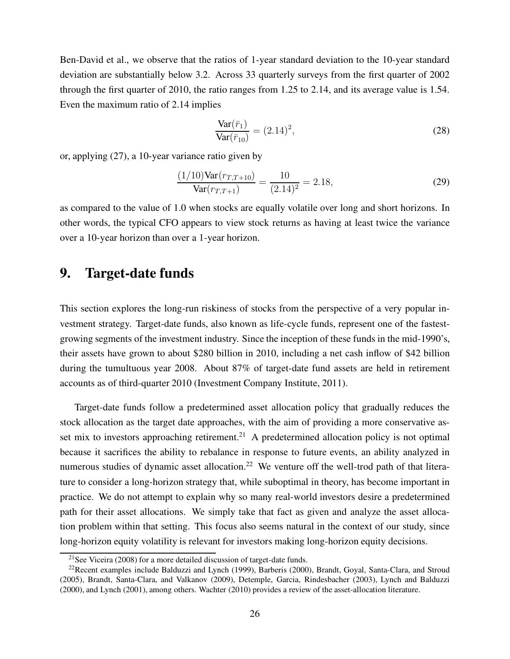Ben-David et al., we observe that the ratios of 1-year standard deviation to the 10-year standard deviation are substantially below 3.2. Across 33 quarterly surveys from the first quarter of 2002 through the first quarter of 2010, the ratio ranges from 1.25 to 2.14, and its average value is 1.54. Even the maximum ratio of 2.14 implies

$$
\frac{\text{Var}(\bar{r}_1)}{\text{Var}(\bar{r}_{10})} = (2.14)^2,
$$
\n(28)

or, applying (27), a 10-year variance ratio given by

$$
\frac{(1/10)\text{Var}(r_{T,T+10})}{\text{Var}(r_{T,T+1})} = \frac{10}{(2.14)^2} = 2.18,
$$
\n(29)

as compared to the value of 1.0 when stocks are equally volatile over long and short horizons. In other words, the typical CFO appears to view stock returns as having at least twice the variance over a 10-year horizon than over a 1-year horizon.

# 9. Target-date funds

This section explores the long-run riskiness of stocks from the perspective of a very popular investment strategy. Target-date funds, also known as life-cycle funds, represent one of the fastestgrowing segments of the investment industry. Since the inception of these funds in the mid-1990's, their assets have grown to about \$280 billion in 2010, including a net cash inflow of \$42 billion during the tumultuous year 2008. About 87% of target-date fund assets are held in retirement accounts as of third-quarter 2010 (Investment Company Institute, 2011).

Target-date funds follow a predetermined asset allocation policy that gradually reduces the stock allocation as the target date approaches, with the aim of providing a more conservative asset mix to investors approaching retirement.<sup>21</sup> A predetermined allocation policy is not optimal because it sacrifices the ability to rebalance in response to future events, an ability analyzed in numerous studies of dynamic asset allocation.<sup>22</sup> We venture off the well-trod path of that literature to consider a long-horizon strategy that, while suboptimal in theory, has become important in practice. We do not attempt to explain why so many real-world investors desire a predetermined path for their asset allocations. We simply take that fact as given and analyze the asset allocation problem within that setting. This focus also seems natural in the context of our study, since long-horizon equity volatility is relevant for investors making long-horizon equity decisions.

<sup>21</sup>See Viceira (2008) for a more detailed discussion of target-date funds.

 $^{22}$ Recent examples include Balduzzi and Lynch (1999), Barberis (2000), Brandt, Goyal, Santa-Clara, and Stroud (2005), Brandt, Santa-Clara, and Valkanov (2009), Detemple, Garcia, Rindesbacher (2003), Lynch and Balduzzi (2000), and Lynch (2001), among others. Wachter (2010) provides a review of the asset-allocation literature.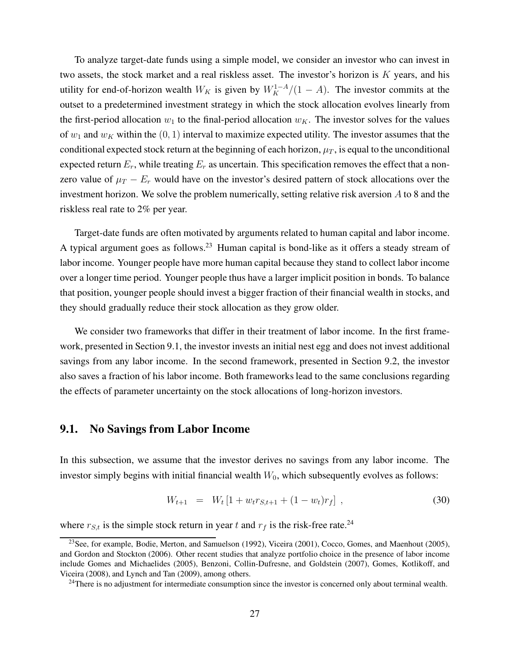To analyze target-date funds using a simple model, we consider an investor who can invest in two assets, the stock market and a real riskless asset. The investor's horizon is  $K$  years, and his utility for end-of-horizon wealth  $W_K$  is given by  $W_K^{1-A}/(1-A)$ . The investor commits at the outset to a predetermined investment strategy in which the stock allocation evolves linearly from the first-period allocation  $w_1$  to the final-period allocation  $w_K$ . The investor solves for the values of  $w_1$  and  $w_K$  within the  $(0, 1)$  interval to maximize expected utility. The investor assumes that the conditional expected stock return at the beginning of each horizon,  $\mu_T$ , is equal to the unconditional expected return  $E_r$ , while treating  $E_r$  as uncertain. This specification removes the effect that a nonzero value of  $\mu_T - E_r$  would have on the investor's desired pattern of stock allocations over the investment horizon. We solve the problem numerically, setting relative risk aversion A to 8 and the riskless real rate to 2% per year.

Target-date funds are often motivated by arguments related to human capital and labor income. A typical argument goes as follows.<sup>23</sup> Human capital is bond-like as it offers a steady stream of labor income. Younger people have more human capital because they stand to collect labor income over a longer time period. Younger people thus have a larger implicit position in bonds. To balance that position, younger people should invest a bigger fraction of their financial wealth in stocks, and they should gradually reduce their stock allocation as they grow older.

We consider two frameworks that differ in their treatment of labor income. In the first framework, presented in Section 9.1, the investor invests an initial nest egg and does not invest additional savings from any labor income. In the second framework, presented in Section 9.2, the investor also saves a fraction of his labor income. Both frameworks lead to the same conclusions regarding the effects of parameter uncertainty on the stock allocations of long-horizon investors.

#### 9.1. No Savings from Labor Income

In this subsection, we assume that the investor derives no savings from any labor income. The investor simply begins with initial financial wealth  $W_0$ , which subsequently evolves as follows:

$$
W_{t+1} = W_t \left[ 1 + w_t r_{S,t+1} + (1 - w_t) r_f \right], \qquad (30)
$$

where  $r_{S,t}$  is the simple stock return in year t and  $r_f$  is the risk-free rate.<sup>24</sup>

<sup>&</sup>lt;sup>23</sup>See, for example, Bodie, Merton, and Samuelson (1992), Viceira (2001), Cocco, Gomes, and Maenhout (2005), and Gordon and Stockton (2006). Other recent studies that analyze portfolio choice in the presence of labor income include Gomes and Michaelides (2005), Benzoni, Collin-Dufresne, and Goldstein (2007), Gomes, Kotlikoff, and Viceira (2008), and Lynch and Tan (2009), among others.

<sup>&</sup>lt;sup>24</sup>There is no adjustment for intermediate consumption since the investor is concerned only about terminal wealth.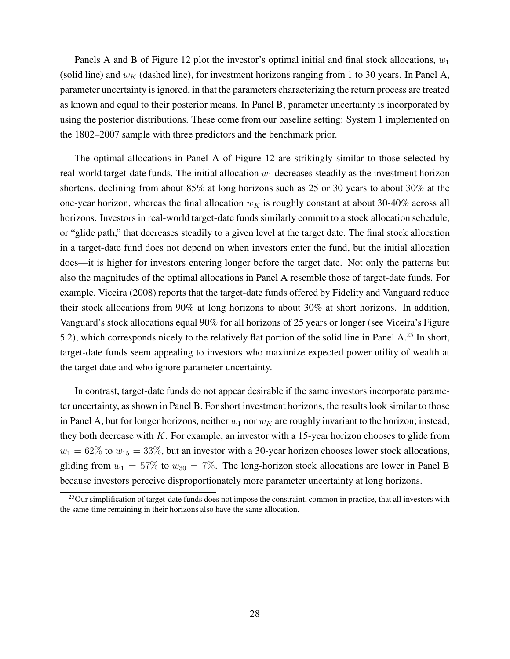Panels A and B of Figure 12 plot the investor's optimal initial and final stock allocations,  $w_1$ (solid line) and  $w_K$  (dashed line), for investment horizons ranging from 1 to 30 years. In Panel A, parameter uncertainty is ignored, in that the parameters characterizing the return process are treated as known and equal to their posterior means. In Panel B, parameter uncertainty is incorporated by using the posterior distributions. These come from our baseline setting: System 1 implemented on the 1802–2007 sample with three predictors and the benchmark prior.

The optimal allocations in Panel A of Figure 12 are strikingly similar to those selected by real-world target-date funds. The initial allocation  $w_1$  decreases steadily as the investment horizon shortens, declining from about 85% at long horizons such as 25 or 30 years to about 30% at the one-year horizon, whereas the final allocation  $w_K$  is roughly constant at about 30-40% across all horizons. Investors in real-world target-date funds similarly commit to a stock allocation schedule, or "glide path," that decreases steadily to a given level at the target date. The final stock allocation in a target-date fund does not depend on when investors enter the fund, but the initial allocation does—it is higher for investors entering longer before the target date. Not only the patterns but also the magnitudes of the optimal allocations in Panel A resemble those of target-date funds. For example, Viceira (2008) reports that the target-date funds offered by Fidelity and Vanguard reduce their stock allocations from 90% at long horizons to about 30% at short horizons. In addition, Vanguard's stock allocations equal 90% for all horizons of 25 years or longer (see Viceira's Figure 5.2), which corresponds nicely to the relatively flat portion of the solid line in Panel A.<sup>25</sup> In short, target-date funds seem appealing to investors who maximize expected power utility of wealth at the target date and who ignore parameter uncertainty.

In contrast, target-date funds do not appear desirable if the same investors incorporate parameter uncertainty, as shown in Panel B. For short investment horizons, the results look similar to those in Panel A, but for longer horizons, neither  $w_1$  nor  $w<sub>K</sub>$  are roughly invariant to the horizon; instead, they both decrease with  $K$ . For example, an investor with a 15-year horizon chooses to glide from  $w_1 = 62\%$  to  $w_{15} = 33\%$ , but an investor with a 30-year horizon chooses lower stock allocations, gliding from  $w_1 = 57\%$  to  $w_{30} = 7\%$ . The long-horizon stock allocations are lower in Panel B because investors perceive disproportionately more parameter uncertainty at long horizons.

 $25$ Our simplification of target-date funds does not impose the constraint, common in practice, that all investors with the same time remaining in their horizons also have the same allocation.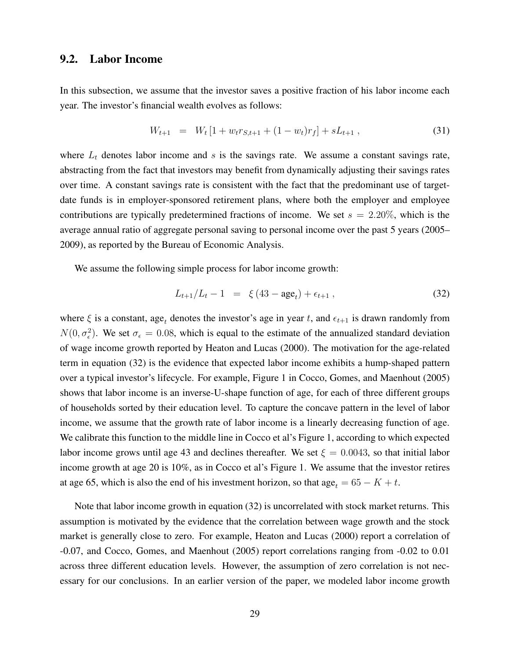#### 9.2. Labor Income

In this subsection, we assume that the investor saves a positive fraction of his labor income each year. The investor's financial wealth evolves as follows:

$$
W_{t+1} = W_t \left[ 1 + w_t r_{S,t+1} + (1 - w_t) r_f \right] + s L_{t+1} \,, \tag{31}
$$

where  $L_t$  denotes labor income and s is the savings rate. We assume a constant savings rate, abstracting from the fact that investors may benefit from dynamically adjusting their savings rates over time. A constant savings rate is consistent with the fact that the predominant use of targetdate funds is in employer-sponsored retirement plans, where both the employer and employee contributions are typically predetermined fractions of income. We set  $s = 2.20\%$ , which is the average annual ratio of aggregate personal saving to personal income over the past 5 years (2005– 2009), as reported by the Bureau of Economic Analysis.

We assume the following simple process for labor income growth:

$$
L_{t+1}/L_t - 1 = \xi (43 - \text{age}_t) + \epsilon_{t+1}, \tag{32}
$$

where  $\xi$  is a constant, age<sub>t</sub> denotes the investor's age in year t, and  $\epsilon_{t+1}$  is drawn randomly from  $N(0, \sigma_{\epsilon}^2)$ . We set  $\sigma_{\epsilon} = 0.08$ , which is equal to the estimate of the annualized standard deviation of wage income growth reported by Heaton and Lucas (2000). The motivation for the age-related term in equation (32) is the evidence that expected labor income exhibits a hump-shaped pattern over a typical investor's lifecycle. For example, Figure 1 in Cocco, Gomes, and Maenhout (2005) shows that labor income is an inverse-U-shape function of age, for each of three different groups of households sorted by their education level. To capture the concave pattern in the level of labor income, we assume that the growth rate of labor income is a linearly decreasing function of age. We calibrate this function to the middle line in Cocco et al's Figure 1, according to which expected labor income grows until age 43 and declines thereafter. We set  $\xi = 0.0043$ , so that initial labor income growth at age 20 is 10%, as in Cocco et al's Figure 1. We assume that the investor retires at age 65, which is also the end of his investment horizon, so that age<sub>t</sub> =  $65 - K + t$ .

Note that labor income growth in equation (32) is uncorrelated with stock market returns. This assumption is motivated by the evidence that the correlation between wage growth and the stock market is generally close to zero. For example, Heaton and Lucas (2000) report a correlation of -0.07, and Cocco, Gomes, and Maenhout (2005) report correlations ranging from -0.02 to 0.01 across three different education levels. However, the assumption of zero correlation is not necessary for our conclusions. In an earlier version of the paper, we modeled labor income growth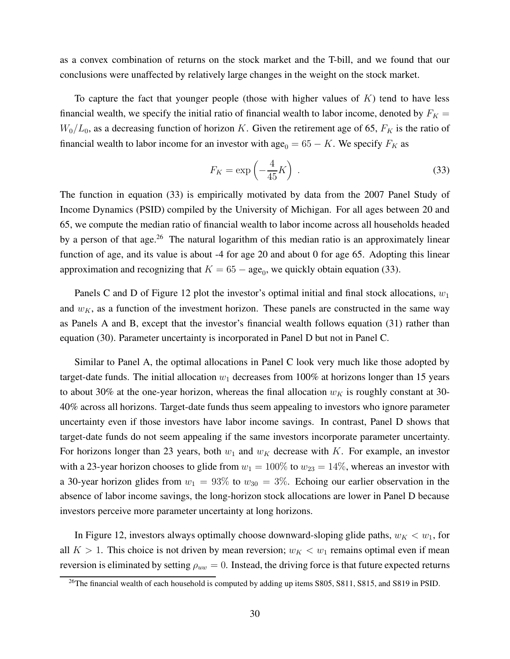as a convex combination of returns on the stock market and the T-bill, and we found that our conclusions were unaffected by relatively large changes in the weight on the stock market.

To capture the fact that younger people (those with higher values of  $K$ ) tend to have less financial wealth, we specify the initial ratio of financial wealth to labor income, denoted by  $F_K =$  $W_0/L_0$ , as a decreasing function of horizon K. Given the retirement age of 65,  $F_K$  is the ratio of financial wealth to labor income for an investor with  $\text{age}_0 = 65 - K$ . We specify  $F_K$  as

$$
F_K = \exp\left(-\frac{4}{45}K\right) \,. \tag{33}
$$

The function in equation (33) is empirically motivated by data from the 2007 Panel Study of Income Dynamics (PSID) compiled by the University of Michigan. For all ages between 20 and 65, we compute the median ratio of financial wealth to labor income across all households headed by a person of that age.<sup>26</sup> The natural logarithm of this median ratio is an approximately linear function of age, and its value is about -4 for age 20 and about 0 for age 65. Adopting this linear approximation and recognizing that  $K = 65 - \text{age}_0$ , we quickly obtain equation (33).

Panels C and D of Figure 12 plot the investor's optimal initial and final stock allocations,  $w_1$ and  $w<sub>K</sub>$ , as a function of the investment horizon. These panels are constructed in the same way as Panels A and B, except that the investor's financial wealth follows equation (31) rather than equation (30). Parameter uncertainty is incorporated in Panel D but not in Panel C.

Similar to Panel A, the optimal allocations in Panel C look very much like those adopted by target-date funds. The initial allocation  $w_1$  decreases from 100% at horizons longer than 15 years to about 30% at the one-year horizon, whereas the final allocation  $w_K$  is roughly constant at 30-40% across all horizons. Target-date funds thus seem appealing to investors who ignore parameter uncertainty even if those investors have labor income savings. In contrast, Panel D shows that target-date funds do not seem appealing if the same investors incorporate parameter uncertainty. For horizons longer than 23 years, both  $w_1$  and  $w<sub>K</sub>$  decrease with K. For example, an investor with a 23-year horizon chooses to glide from  $w_1 = 100\%$  to  $w_{23} = 14\%$ , whereas an investor with a 30-year horizon glides from  $w_1 = 93\%$  to  $w_{30} = 3\%$ . Echoing our earlier observation in the absence of labor income savings, the long-horizon stock allocations are lower in Panel D because investors perceive more parameter uncertainty at long horizons.

In Figure 12, investors always optimally choose downward-sloping glide paths,  $w_K < w_1$ , for all  $K > 1$ . This choice is not driven by mean reversion;  $w_K < w_1$  remains optimal even if mean reversion is eliminated by setting  $\rho_{uw} = 0$ . Instead, the driving force is that future expected returns

<sup>&</sup>lt;sup>26</sup>The financial wealth of each household is computed by adding up items S805, S811, S815, and S819 in PSID.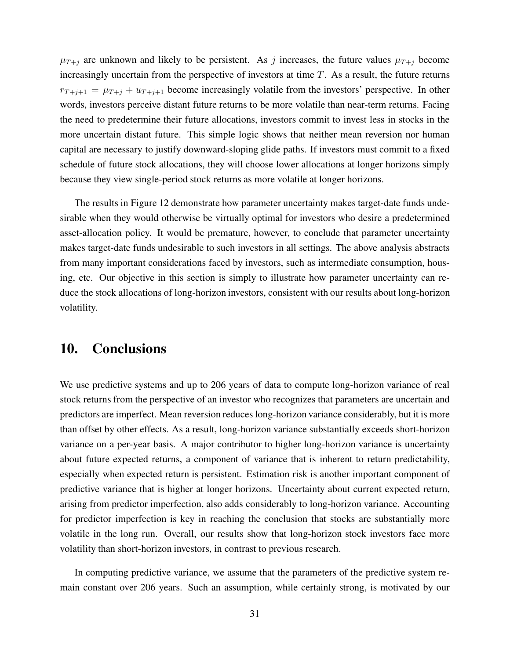$\mu_{T+i}$  are unknown and likely to be persistent. As j increases, the future values  $\mu_{T+i}$  become increasingly uncertain from the perspective of investors at time  $T$ . As a result, the future returns  $r_{T+j+1} = \mu_{T+j} + u_{T+j+1}$  become increasingly volatile from the investors' perspective. In other words, investors perceive distant future returns to be more volatile than near-term returns. Facing the need to predetermine their future allocations, investors commit to invest less in stocks in the more uncertain distant future. This simple logic shows that neither mean reversion nor human capital are necessary to justify downward-sloping glide paths. If investors must commit to a fixed schedule of future stock allocations, they will choose lower allocations at longer horizons simply because they view single-period stock returns as more volatile at longer horizons.

The results in Figure 12 demonstrate how parameter uncertainty makes target-date funds undesirable when they would otherwise be virtually optimal for investors who desire a predetermined asset-allocation policy. It would be premature, however, to conclude that parameter uncertainty makes target-date funds undesirable to such investors in all settings. The above analysis abstracts from many important considerations faced by investors, such as intermediate consumption, housing, etc. Our objective in this section is simply to illustrate how parameter uncertainty can reduce the stock allocations of long-horizon investors, consistent with our results about long-horizon volatility.

# 10. Conclusions

We use predictive systems and up to 206 years of data to compute long-horizon variance of real stock returns from the perspective of an investor who recognizes that parameters are uncertain and predictors are imperfect. Mean reversion reduces long-horizon variance considerably, but it is more than offset by other effects. As a result, long-horizon variance substantially exceeds short-horizon variance on a per-year basis. A major contributor to higher long-horizon variance is uncertainty about future expected returns, a component of variance that is inherent to return predictability, especially when expected return is persistent. Estimation risk is another important component of predictive variance that is higher at longer horizons. Uncertainty about current expected return, arising from predictor imperfection, also adds considerably to long-horizon variance. Accounting for predictor imperfection is key in reaching the conclusion that stocks are substantially more volatile in the long run. Overall, our results show that long-horizon stock investors face more volatility than short-horizon investors, in contrast to previous research.

In computing predictive variance, we assume that the parameters of the predictive system remain constant over 206 years. Such an assumption, while certainly strong, is motivated by our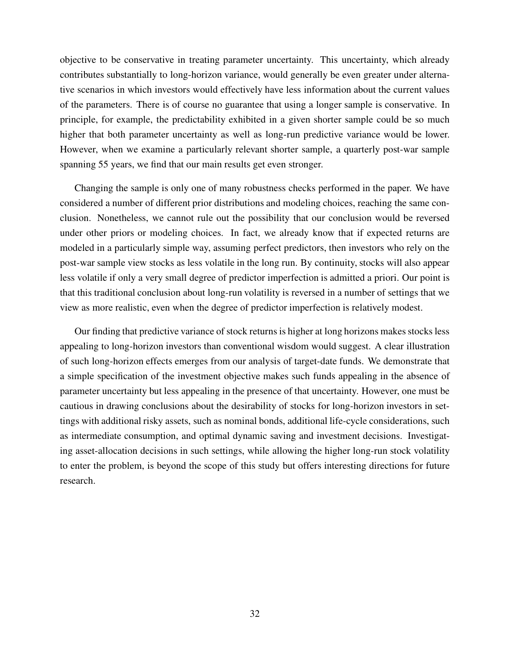objective to be conservative in treating parameter uncertainty. This uncertainty, which already contributes substantially to long-horizon variance, would generally be even greater under alternative scenarios in which investors would effectively have less information about the current values of the parameters. There is of course no guarantee that using a longer sample is conservative. In principle, for example, the predictability exhibited in a given shorter sample could be so much higher that both parameter uncertainty as well as long-run predictive variance would be lower. However, when we examine a particularly relevant shorter sample, a quarterly post-war sample spanning 55 years, we find that our main results get even stronger.

Changing the sample is only one of many robustness checks performed in the paper. We have considered a number of different prior distributions and modeling choices, reaching the same conclusion. Nonetheless, we cannot rule out the possibility that our conclusion would be reversed under other priors or modeling choices. In fact, we already know that if expected returns are modeled in a particularly simple way, assuming perfect predictors, then investors who rely on the post-war sample view stocks as less volatile in the long run. By continuity, stocks will also appear less volatile if only a very small degree of predictor imperfection is admitted a priori. Our point is that this traditional conclusion about long-run volatility is reversed in a number of settings that we view as more realistic, even when the degree of predictor imperfection is relatively modest.

Our finding that predictive variance of stock returns is higher at long horizons makes stocks less appealing to long-horizon investors than conventional wisdom would suggest. A clear illustration of such long-horizon effects emerges from our analysis of target-date funds. We demonstrate that a simple specification of the investment objective makes such funds appealing in the absence of parameter uncertainty but less appealing in the presence of that uncertainty. However, one must be cautious in drawing conclusions about the desirability of stocks for long-horizon investors in settings with additional risky assets, such as nominal bonds, additional life-cycle considerations, such as intermediate consumption, and optimal dynamic saving and investment decisions. Investigating asset-allocation decisions in such settings, while allowing the higher long-run stock volatility to enter the problem, is beyond the scope of this study but offers interesting directions for future research.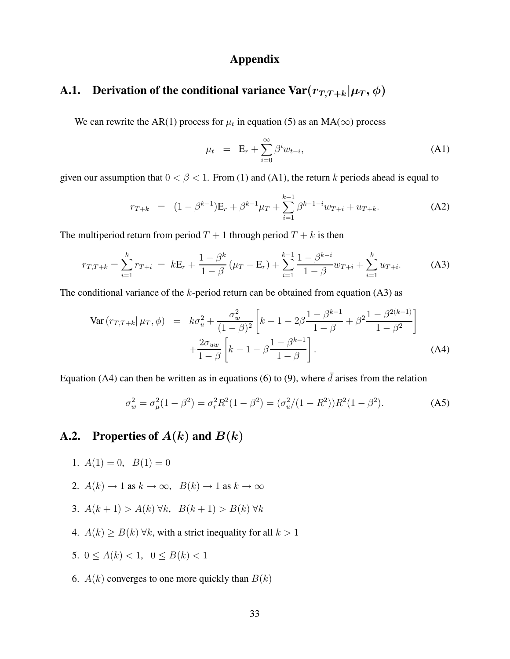### Appendix

# A.1. Derivation of the conditional variance  $Var(r_{T,T+k}|\mu_T, \phi)$

We can rewrite the AR(1) process for  $\mu_t$  in equation (5) as an MA( $\infty$ ) process

$$
\mu_t = \mathbf{E}_r + \sum_{i=0}^{\infty} \beta^i w_{t-i}, \tag{A1}
$$

given our assumption that  $0 < \beta < 1$ . From (1) and (A1), the return k periods ahead is equal to

$$
r_{T+k} = (1 - \beta^{k-1})E_r + \beta^{k-1}\mu_T + \sum_{i=1}^{k-1} \beta^{k-1-i} w_{T+i} + u_{T+k}.
$$
 (A2)

The multiperiod return from period  $T + 1$  through period  $T + k$  is then

$$
r_{T,T+k} = \sum_{i=1}^{k} r_{T+i} = kE_r + \frac{1-\beta^k}{1-\beta} (\mu_T - E_r) + \sum_{i=1}^{k-1} \frac{1-\beta^{k-i}}{1-\beta} w_{T+i} + \sum_{i=1}^{k} u_{T+i}.
$$
 (A3)

The conditional variance of the  $k$ -period return can be obtained from equation (A3) as

$$
\text{Var}\left(r_{T,T+k}|\,\mu_T,\phi\right) = k\sigma_u^2 + \frac{\sigma_w^2}{(1-\beta)^2} \left[k-1-2\beta\frac{1-\beta^{k-1}}{1-\beta} + \beta^2\frac{1-\beta^{2(k-1)}}{1-\beta^2}\right] + \frac{2\sigma_{uw}}{1-\beta} \left[k-1-\beta\frac{1-\beta^{k-1}}{1-\beta}\right].\tag{A4}
$$

Equation (A4) can then be written as in equations (6) to (9), where  $\bar{d}$  arises from the relation

$$
\sigma_w^2 = \sigma_\mu^2 (1 - \beta^2) = \sigma_r^2 R^2 (1 - \beta^2) = (\sigma_u^2 / (1 - R^2)) R^2 (1 - \beta^2).
$$
 (A5)

# A.2. Properties of  $A(k)$  and  $B(k)$

- 1.  $A(1) = 0$ ,  $B(1) = 0$
- 2.  $A(k) \to 1$  as  $k \to \infty$ ,  $B(k) \to 1$  as  $k \to \infty$
- 3.  $A(k+1) > A(k) \forall k, B(k+1) > B(k) \forall k$
- 4.  $A(k) \ge B(k) \forall k$ , with a strict inequality for all  $k > 1$
- 5.  $0 \leq A(k) < 1, \quad 0 \leq B(k) < 1$
- 6.  $A(k)$  converges to one more quickly than  $B(k)$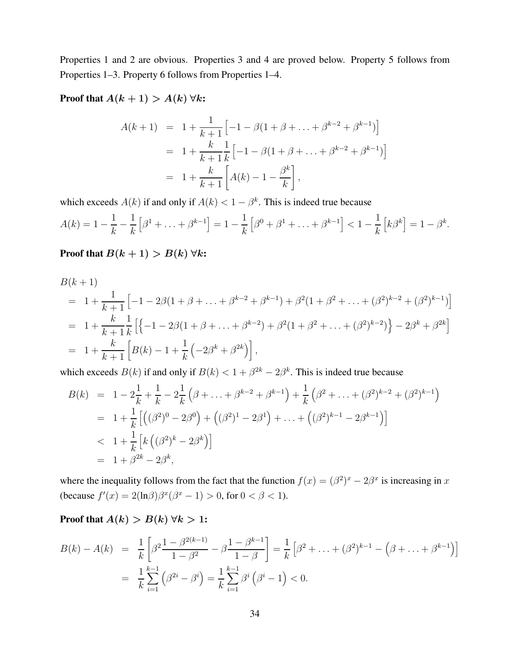Properties 1 and 2 are obvious. Properties 3 and 4 are proved below. Property 5 follows from Properties 1–3. Property 6 follows from Properties 1–4.

Proof that  $A(k + 1) > A(k) \forall k$ :

$$
A(k+1) = 1 + \frac{1}{k+1} \left[ -1 - \beta (1 + \beta + \dots + \beta^{k-2} + \beta^{k-1}) \right]
$$
  
= 1 +  $\frac{k}{k+1} \frac{1}{k} \left[ -1 - \beta (1 + \beta + \dots + \beta^{k-2} + \beta^{k-1}) \right]$   
= 1 +  $\frac{k}{k+1} \left[ A(k) - 1 - \frac{\beta^k}{k} \right],$ 

which exceeds  $A(k)$  if and only if  $A(k) < 1 - \beta^k$ . This is indeed true because

$$
A(k) = 1 - \frac{1}{k} - \frac{1}{k} \left[ \beta^1 + \ldots + \beta^{k-1} \right] = 1 - \frac{1}{k} \left[ \beta^0 + \beta^1 + \ldots + \beta^{k-1} \right] < 1 - \frac{1}{k} \left[ k \beta^k \right] = 1 - \beta^k.
$$

Proof that  $B(k + 1) > B(k) \forall k$ :

$$
B(k + 1)
$$
  
=  $1 + \frac{1}{k+1} \left[ -1 - 2\beta(1 + \beta + \dots + \beta^{k-2} + \beta^{k-1}) + \beta^2(1 + \beta^2 + \dots + (\beta^2)^{k-2} + (\beta^2)^{k-1}) \right]$   
=  $1 + \frac{k}{k+1} \frac{1}{k} \left[ \left\{ -1 - 2\beta(1 + \beta + \dots + \beta^{k-2}) + \beta^2(1 + \beta^2 + \dots + (\beta^2)^{k-2}) \right\} - 2\beta^k + \beta^{2k} \right]$   
=  $1 + \frac{k}{k+1} \left[ B(k) - 1 + \frac{1}{k} \left( -2\beta^k + \beta^{2k} \right) \right],$ 

which exceeds  $B(k)$  if and only if  $B(k) < 1 + \beta^{2k} - 2\beta^k$ . This is indeed true because

$$
B(k) = 1 - 2\frac{1}{k} + \frac{1}{k} - 2\frac{1}{k} (\beta + \dots + \beta^{k-2} + \beta^{k-1}) + \frac{1}{k} (\beta^2 + \dots + (\beta^2)^{k-2} + (\beta^2)^{k-1})
$$
  
= 1 +  $\frac{1}{k} [((\beta^2)^0 - 2\beta^0) + ((\beta^2)^1 - 2\beta^1) + \dots + ((\beta^2)^{k-1} - 2\beta^{k-1})]$   
<  $1 + \frac{1}{k} [k ((\beta^2)^k - 2\beta^k)]$   
= 1 +  $\beta^{2k} - 2\beta^k$ ,

where the inequality follows from the fact that the function  $f(x) = (\beta^2)^x - 2\beta^x$  is increasing in x (because  $f'(x) = 2(\ln \beta) \beta^x (\beta^x - 1) > 0$ , for  $0 < \beta < 1$ ).

Proof that  $A(k) > B(k) \forall k > 1$ :

$$
B(k) - A(k) = \frac{1}{k} \left[ \beta^2 \frac{1 - \beta^{2(k-1)}}{1 - \beta^2} - \beta \frac{1 - \beta^{k-1}}{1 - \beta} \right] = \frac{1}{k} \left[ \beta^2 + \dots + (\beta^2)^{k-1} - \left( \beta + \dots + \beta^{k-1} \right) \right]
$$
  
= 
$$
\frac{1}{k} \sum_{i=1}^{k-1} \left( \beta^{2i} - \beta^i \right) = \frac{1}{k} \sum_{i=1}^{k-1} \beta^i \left( \beta^i - 1 \right) < 0.
$$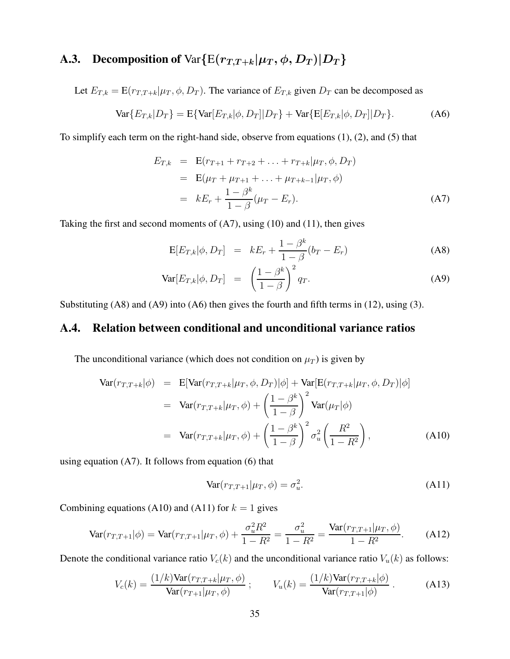# A.3. Decomposition of Var $\{E(r_{T,T+k}|\mu_T,\phi,D_T)|D_T\}$

Let  $E_{T,k} = E(r_{T,T+k}|\mu_T, \phi, D_T)$ . The variance of  $E_{T,k}$  given  $D_T$  can be decomposed as

$$
Var{E_{T,k}|D_T} = E{Var[E_{T,k}|\phi, D_T]|D_T} + Var{E[E_{T,k}|\phi, D_T]|D_T}.
$$
 (A6)

To simplify each term on the right-hand side, observe from equations (1), (2), and (5) that

$$
E_{T,k} = \mathbf{E}(r_{T+1} + r_{T+2} + \dots + r_{T+k} | \mu_T, \phi, D_T)
$$
  
=  $\mathbf{E}(\mu_T + \mu_{T+1} + \dots + \mu_{T+k-1} | \mu_T, \phi)$   
=  $kE_r + \frac{1 - \beta^k}{1 - \beta} (\mu_T - E_r).$  (A7)

Taking the first and second moments of  $(A7)$ , using  $(10)$  and  $(11)$ , then gives

$$
\mathbf{E}[E_{T,k}|\phi, D_T] = kE_r + \frac{1-\beta^k}{1-\beta}(b_T - E_r)
$$
\n(A8)

$$
\text{Var}[E_{T,k}|\phi, D_T] = \left(\frac{1-\beta^k}{1-\beta}\right)^2 q_T. \tag{A9}
$$

Substituting (A8) and (A9) into (A6) then gives the fourth and fifth terms in (12), using (3).

### A.4. Relation between conditional and unconditional variance ratios

The unconditional variance (which does not condition on  $\mu_T$ ) is given by

$$
\begin{split} \text{Var}(r_{T,T+k}|\phi) &= \mathbf{E}[\text{Var}(r_{T,T+k}|\mu_T,\phi,D_T)|\phi] + \text{Var}[\mathbf{E}(r_{T,T+k}|\mu_T,\phi,D_T)|\phi] \\ &= \text{Var}(r_{T,T+k}|\mu_T,\phi) + \left(\frac{1-\beta^k}{1-\beta}\right)^2 \text{Var}(\mu_T|\phi) \\ &= \text{Var}(r_{T,T+k}|\mu_T,\phi) + \left(\frac{1-\beta^k}{1-\beta}\right)^2 \sigma_u^2 \left(\frac{R^2}{1-R^2}\right), \end{split} \tag{A10}
$$

using equation  $(A7)$ . It follows from equation  $(6)$  that

$$
Var(r_{T,T+1}|\mu_T, \phi) = \sigma_u^2.
$$
\n(A11)

Combining equations (A10) and (A11) for  $k = 1$  gives

$$
\text{Var}(r_{T,T+1}|\phi) = \text{Var}(r_{T,T+1}|\mu_T, \phi) + \frac{\sigma_u^2 R^2}{1 - R^2} = \frac{\sigma_u^2}{1 - R^2} = \frac{\text{Var}(r_{T,T+1}|\mu_T, \phi)}{1 - R^2}.
$$
 (A12)

Denote the conditional variance ratio  $V_c(k)$  and the unconditional variance ratio  $V_u(k)$  as follows:

$$
V_c(k) = \frac{(1/k)\text{Var}(r_{T,T+k}|\mu_T, \phi)}{\text{Var}(r_{T+1}|\mu_T, \phi)}; \qquad V_u(k) = \frac{(1/k)\text{Var}(r_{T,T+k}|\phi)}{\text{Var}(r_{T,T+1}|\phi)}.
$$
 (A13)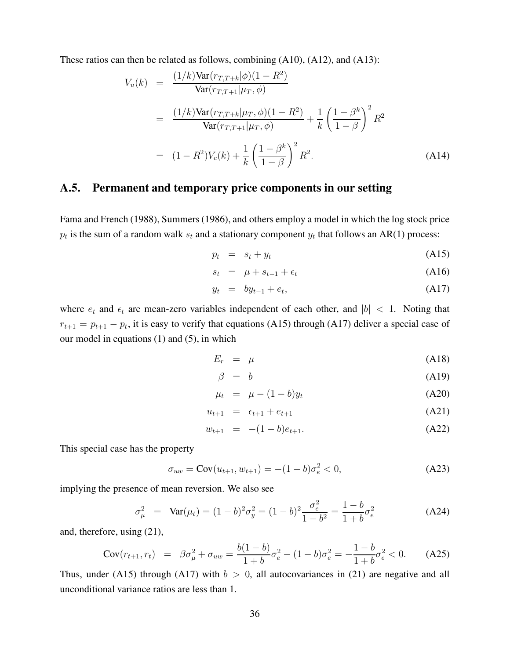These ratios can then be related as follows, combining (A10), (A12), and (A13):

$$
V_u(k) = \frac{(1/k)\text{Var}(r_{T,T+k}|\phi)(1 - R^2)}{\text{Var}(r_{T,T+1}|\mu_T, \phi)}
$$
  
= 
$$
\frac{(1/k)\text{Var}(r_{T,T+k}|\mu_T, \phi)(1 - R^2)}{\text{Var}(r_{T,T+1}|\mu_T, \phi)} + \frac{1}{k} \left(\frac{1 - \beta^k}{1 - \beta}\right)^2 R^2
$$
  
= 
$$
(1 - R^2)V_c(k) + \frac{1}{k} \left(\frac{1 - \beta^k}{1 - \beta}\right)^2 R^2.
$$
 (A14)

### A.5. Permanent and temporary price components in our setting

Fama and French (1988), Summers (1986), and others employ a model in which the log stock price  $p_t$  is the sum of a random walk  $s_t$  and a stationary component  $y_t$  that follows an AR(1) process:

$$
p_t = s_t + y_t \tag{A15}
$$

$$
s_t = \mu + s_{t-1} + \epsilon_t \tag{A16}
$$

$$
y_t = by_{t-1} + e_t, \tag{A17}
$$

where  $e_t$  and  $\epsilon_t$  are mean-zero variables independent of each other, and  $|b| < 1$ . Noting that  $r_{t+1} = p_{t+1} - p_t$ , it is easy to verify that equations (A15) through (A17) deliver a special case of our model in equations (1) and (5), in which

$$
E_r = \mu \tag{A18}
$$

$$
\beta = b \tag{A19}
$$

$$
\mu_t = \mu - (1 - b)y_t \tag{A20}
$$

$$
u_{t+1} = \epsilon_{t+1} + e_{t+1} \tag{A21}
$$

$$
w_{t+1} = -(1-b)e_{t+1}.
$$
 (A22)

This special case has the property

$$
\sigma_{uw} = \text{Cov}(u_{t+1}, w_{t+1}) = -(1 - b)\sigma_e^2 < 0,\tag{A23}
$$

implying the presence of mean reversion. We also see

$$
\sigma_{\mu}^{2} = \text{Var}(\mu_{t}) = (1 - b)^{2} \sigma_{y}^{2} = (1 - b)^{2} \frac{\sigma_{e}^{2}}{1 - b^{2}} = \frac{1 - b}{1 + b} \sigma_{e}^{2}
$$
 (A24)

and, therefore, using (21),

$$
Cov(r_{t+1}, r_t) = \beta \sigma_\mu^2 + \sigma_{uw} = \frac{b(1-b)}{1+b} \sigma_e^2 - (1-b)\sigma_e^2 = -\frac{1-b}{1+b} \sigma_e^2 < 0. \tag{A25}
$$

Thus, under (A15) through (A17) with  $b > 0$ , all autocovariances in (21) are negative and all unconditional variance ratios are less than 1.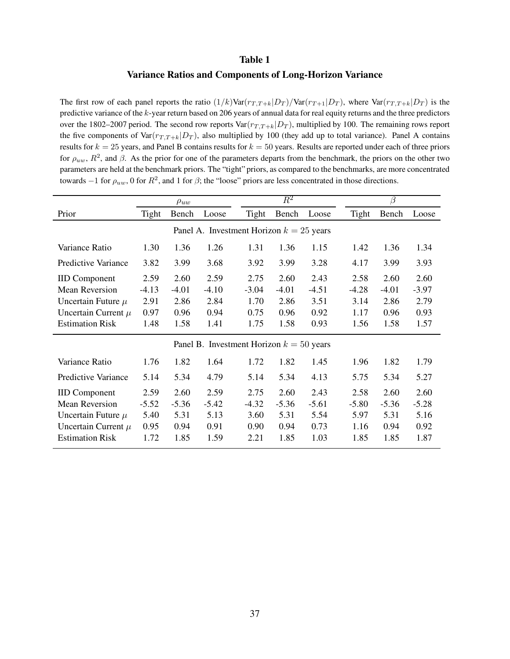#### Table 1

#### Variance Ratios and Components of Long-Horizon Variance

The first row of each panel reports the ratio  $(1/k) \text{Var}(r_{T,T+k}|D_T) / \text{Var}(r_{T+1}|D_T)$ , where  $\text{Var}(r_{T,T+k}|D_T)$  is the predictive variance of the k-year return based on 206 years of annual data for real equity returns and the three predictors over the 1802–2007 period. The second row reports  $Var(r_{T,T+k}|D_T)$ , multiplied by 100. The remaining rows report the five components of  $Var(r_{T, T+k}|D_T)$ , also multiplied by 100 (they add up to total variance). Panel A contains results for  $k = 25$  years, and Panel B contains results for  $k = 50$  years. Results are reported under each of three priors for  $\rho_{uw}$ ,  $R^2$ , and  $\beta$ . As the prior for one of the parameters departs from the benchmark, the priors on the other two parameters are held at the benchmark priors. The "tight" priors, as compared to the benchmarks, are more concentrated towards  $-1$  for  $\rho_{uw}$ , 0 for  $R^2$ , and 1 for  $\beta$ ; the "loose" priors are less concentrated in those directions.

|                                            | $\rho_{uw}$ |         |         |         | $\,R^2$ |         |  | $\beta$ |         |         |
|--------------------------------------------|-------------|---------|---------|---------|---------|---------|--|---------|---------|---------|
| Prior                                      | Tight       | Bench   | Loose   | Tight   | Bench   | Loose   |  | Tight   | Bench   | Loose   |
| Panel A. Investment Horizon $k = 25$ years |             |         |         |         |         |         |  |         |         |         |
| Variance Ratio                             | 1.30        | 1.36    | 1.26    | 1.31    | 1.36    | 1.15    |  | 1.42    | 1.36    | 1.34    |
| <b>Predictive Variance</b>                 | 3.82        | 3.99    | 3.68    | 3.92    | 3.99    | 3.28    |  | 4.17    | 3.99    | 3.93    |
| <b>IID Component</b>                       | 2.59        | 2.60    | 2.59    | 2.75    | 2.60    | 2.43    |  | 2.58    | 2.60    | 2.60    |
| <b>Mean Reversion</b>                      | $-4.13$     | $-4.01$ | $-4.10$ | $-3.04$ | $-4.01$ | $-4.51$ |  | $-4.28$ | $-4.01$ | $-3.97$ |
| Uncertain Future $\mu$                     | 2.91        | 2.86    | 2.84    | 1.70    | 2.86    | 3.51    |  | 3.14    | 2.86    | 2.79    |
| Uncertain Current $\mu$                    | 0.97        | 0.96    | 0.94    | 0.75    | 0.96    | 0.92    |  | 1.17    | 0.96    | 0.93    |
| <b>Estimation Risk</b>                     | 1.48        | 1.58    | 1.41    | 1.75    | 1.58    | 0.93    |  | 1.56    | 1.58    | 1.57    |
| Panel B. Investment Horizon $k = 50$ years |             |         |         |         |         |         |  |         |         |         |
| Variance Ratio                             | 1.76        | 1.82    | 1.64    | 1.72    | 1.82    | 1.45    |  | 1.96    | 1.82    | 1.79    |
| <b>Predictive Variance</b>                 | 5.14        | 5.34    | 4.79    | 5.14    | 5.34    | 4.13    |  | 5.75    | 5.34    | 5.27    |
| <b>IID Component</b>                       | 2.59        | 2.60    | 2.59    | 2.75    | 2.60    | 2.43    |  | 2.58    | 2.60    | 2.60    |
| <b>Mean Reversion</b>                      | $-5.52$     | $-5.36$ | $-5.42$ | $-4.32$ | $-5.36$ | $-5.61$ |  | $-5.80$ | $-5.36$ | $-5.28$ |
| Uncertain Future $\mu$                     | 5.40        | 5.31    | 5.13    | 3.60    | 5.31    | 5.54    |  | 5.97    | 5.31    | 5.16    |
| Uncertain Current $\mu$                    | 0.95        | 0.94    | 0.91    | 0.90    | 0.94    | 0.73    |  | 1.16    | 0.94    | 0.92    |
| <b>Estimation Risk</b>                     | 1.72        | 1.85    | 1.59    | 2.21    | 1.85    | 1.03    |  | 1.85    | 1.85    | 1.87    |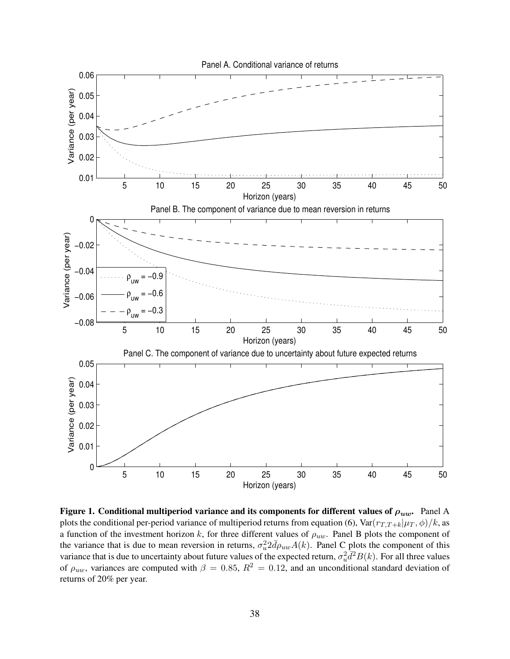

Figure 1. Conditional multiperiod variance and its components for different values of  $\rho_{uw}$ . Panel A plots the conditional per-period variance of multiperiod returns from equation (6),  $\text{Var}(r_{T,T+k}|\mu_T, \phi)/k$ , as a function of the investment horizon k, for three different values of  $\rho_{uw}$ . Panel B plots the component of the variance that is due to mean reversion in returns,  $\sigma_u^2 2 \bar{d} \rho_{uw} A(k)$ . Panel C plots the component of this variance that is due to uncertainty about future values of the expected return,  $\sigma_u^2 \bar{d}^2 B(k)$ . For all three values of  $\rho_{uw}$ , variances are computed with  $\beta = 0.85$ ,  $R^2 = 0.12$ , and an unconditional standard deviation of returns of 20% per year.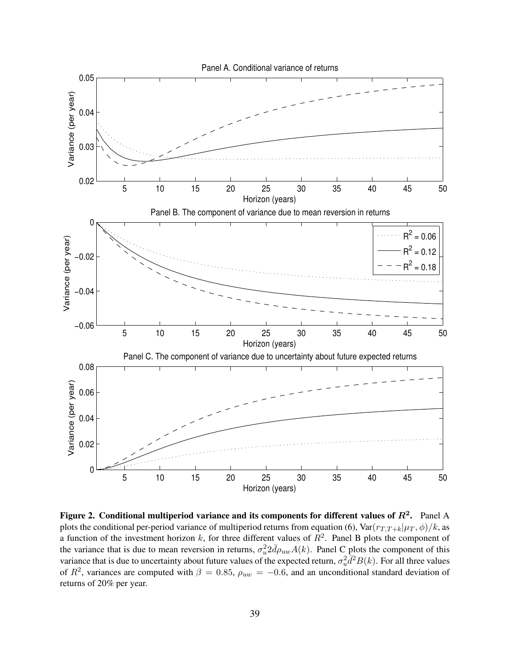

Figure 2. Conditional multiperiod variance and its components for different values of  $R^2$ . Panel A plots the conditional per-period variance of multiperiod returns from equation (6),  $\text{Var}(r_{T,T+k}|\mu_T, \phi)/k$ , as a function of the investment horizon k, for three different values of  $R^2$ . Panel B plots the component of the variance that is due to mean reversion in returns,  $\sigma_u^2 2 \bar{d} \rho_{uw} A(k)$ . Panel C plots the component of this variance that is due to uncertainty about future values of the expected return,  $\sigma_u^2 \bar{d}^2 B(k)$ . For all three values of  $R^2$ , variances are computed with  $\beta = 0.85$ ,  $\rho_{uw} = -0.6$ , and an unconditional standard deviation of returns of 20% per year.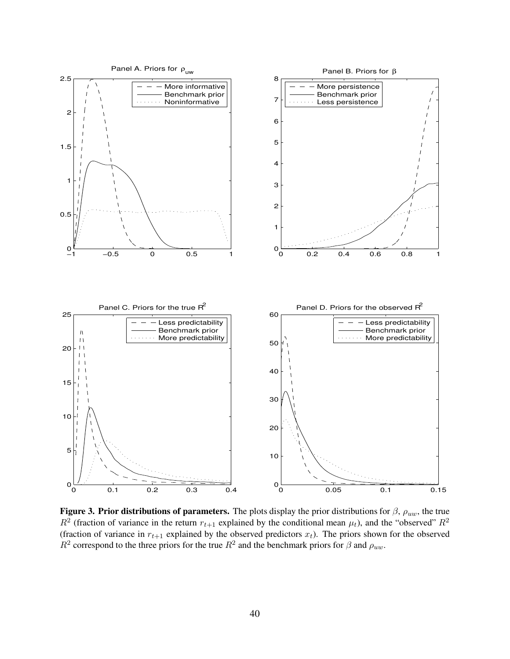

Figure 3. Prior distributions of parameters. The plots display the prior distributions for  $\beta$ ,  $\rho_{uw}$ , the true  $R^2$  (fraction of variance in the return  $r_{t+1}$  explained by the conditional mean  $\mu_t$ ), and the "observed"  $R^2$ (fraction of variance in  $r_{t+1}$  explained by the observed predictors  $x_t$ ). The priors shown for the observed  $R^2$  correspond to the three priors for the true  $R^2$  and the benchmark priors for  $\beta$  and  $\rho_{uw}$ .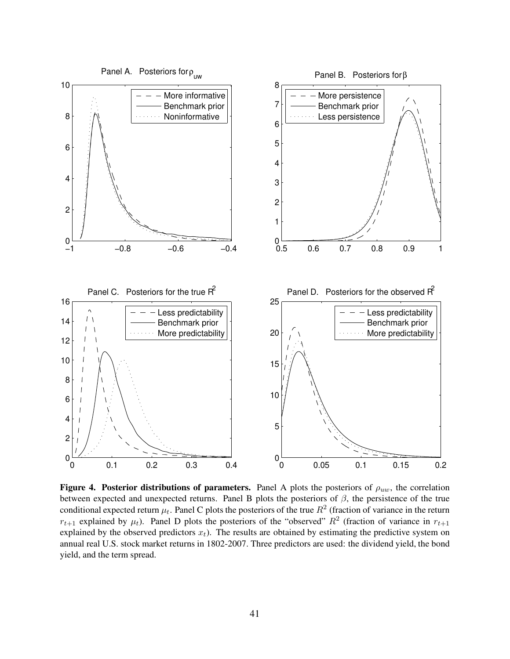

Figure 4. Posterior distributions of parameters. Panel A plots the posteriors of  $\rho_{uw}$ , the correlation between expected and unexpected returns. Panel B plots the posteriors of  $\beta$ , the persistence of the true conditional expected return  $\mu_t$ . Panel C plots the posteriors of the true  $R^2$  (fraction of variance in the return  $r_{t+1}$  explained by  $\mu_t$ ). Panel D plots the posteriors of the "observed"  $R^2$  (fraction of variance in  $r_{t+1}$ explained by the observed predictors  $x_t$ ). The results are obtained by estimating the predictive system on annual real U.S. stock market returns in 1802-2007. Three predictors are used: the dividend yield, the bond yield, and the term spread.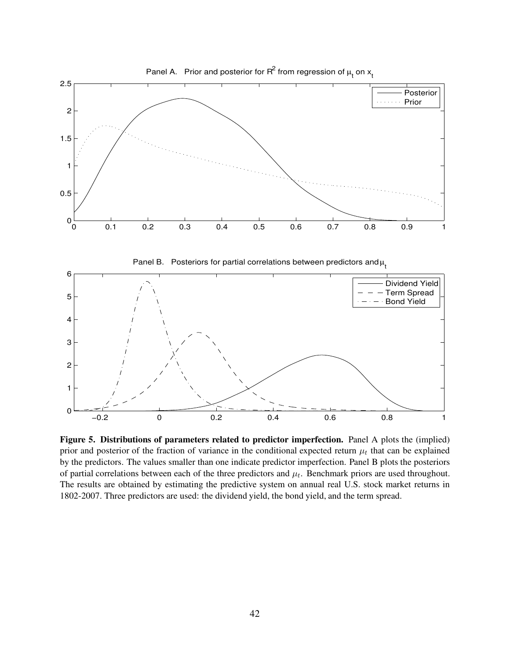

Figure 5. Distributions of parameters related to predictor imperfection. Panel A plots the (implied) prior and posterior of the fraction of variance in the conditional expected return  $\mu_t$  that can be explained by the predictors. The values smaller than one indicate predictor imperfection. Panel B plots the posteriors of partial correlations between each of the three predictors and  $\mu_t$ . Benchmark priors are used throughout. The results are obtained by estimating the predictive system on annual real U.S. stock market returns in 1802-2007. Three predictors are used: the dividend yield, the bond yield, and the term spread.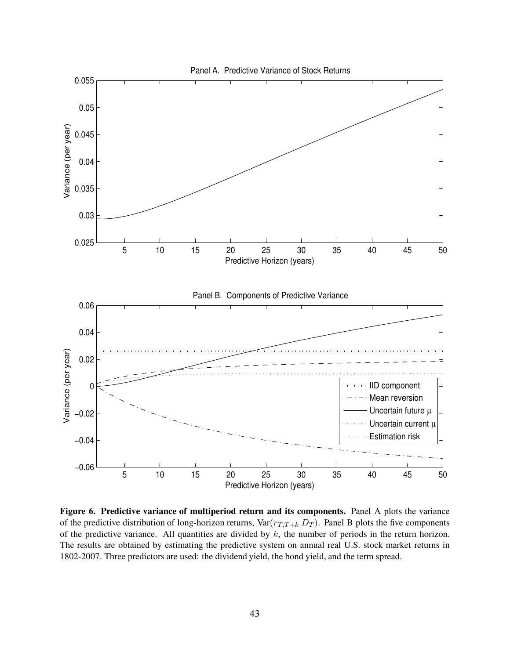![](_page_43_Figure_0.jpeg)

Figure 6. Predictive variance of multiperiod return and its components. Panel A plots the variance of the predictive distribution of long-horizon returns,  $Var(r_{T,T+k}|D_T)$ . Panel B plots the five components of the predictive variance. All quantities are divided by  $k$ , the number of periods in the return horizon. The results are obtained by estimating the predictive system on annual real U.S. stock market returns in 1802-2007. Three predictors are used: the dividend yield, the bond yield, and the term spread.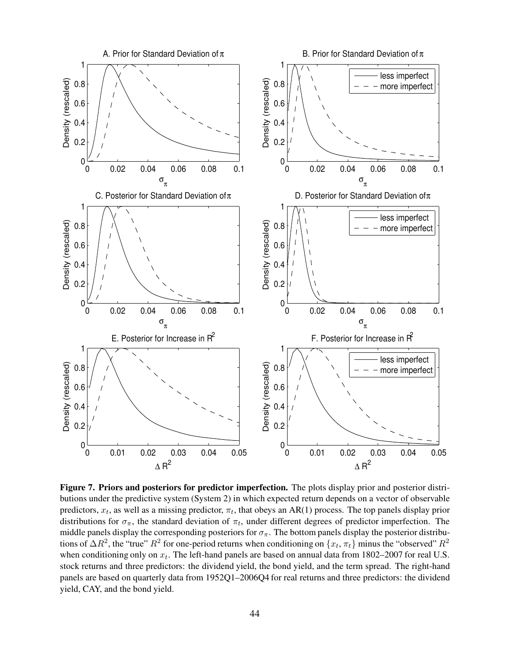![](_page_44_Figure_0.jpeg)

Figure 7. Priors and posteriors for predictor imperfection. The plots display prior and posterior distributions under the predictive system (System 2) in which expected return depends on a vector of observable predictors,  $x_t$ , as well as a missing predictor,  $\pi_t$ , that obeys an AR(1) process. The top panels display prior distributions for  $\sigma_{\pi}$ , the standard deviation of  $\pi_t$ , under different degrees of predictor imperfection. The middle panels display the corresponding posteriors for  $\sigma_{\pi}$ . The bottom panels display the posterior distributions of  $\Delta R^2$ , the "true"  $R^2$  for one-period returns when conditioning on  $\{x_t, \pi_t\}$  minus the "observed"  $R^2$ when conditioning only on  $x_t$ . The left-hand panels are based on annual data from 1802–2007 for real U.S. stock returns and three predictors: the dividend yield, the bond yield, and the term spread. The right-hand panels are based on quarterly data from 1952Q1–2006Q4 for real returns and three predictors: the dividend yield, CAY, and the bond yield.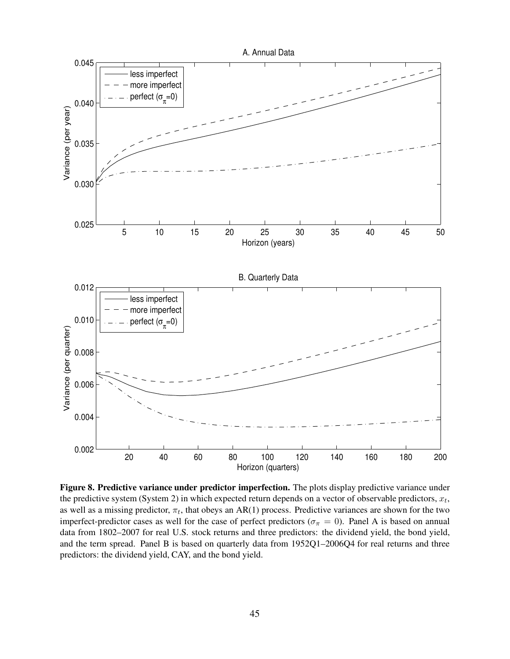![](_page_45_Figure_0.jpeg)

Figure 8. Predictive variance under predictor imperfection. The plots display predictive variance under the predictive system (System 2) in which expected return depends on a vector of observable predictors,  $x_t$ , as well as a missing predictor,  $\pi_t$ , that obeys an AR(1) process. Predictive variances are shown for the two imperfect-predictor cases as well for the case of perfect predictors ( $\sigma_{\pi} = 0$ ). Panel A is based on annual data from 1802–2007 for real U.S. stock returns and three predictors: the dividend yield, the bond yield, and the term spread. Panel B is based on quarterly data from 1952Q1–2006Q4 for real returns and three predictors: the dividend yield, CAY, and the bond yield.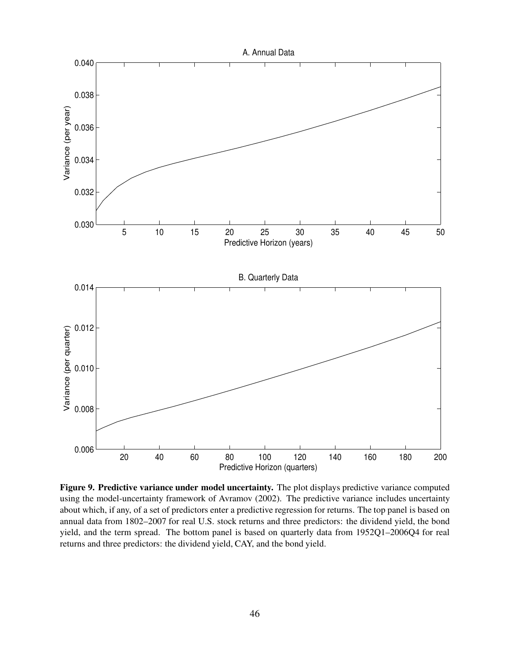![](_page_46_Figure_0.jpeg)

Figure 9. Predictive variance under model uncertainty. The plot displays predictive variance computed using the model-uncertainty framework of Avramov (2002). The predictive variance includes uncertainty about which, if any, of a set of predictors enter a predictive regression for returns. The top panel is based on annual data from 1802–2007 for real U.S. stock returns and three predictors: the dividend yield, the bond yield, and the term spread. The bottom panel is based on quarterly data from 1952Q1–2006Q4 for real returns and three predictors: the dividend yield, CAY, and the bond yield.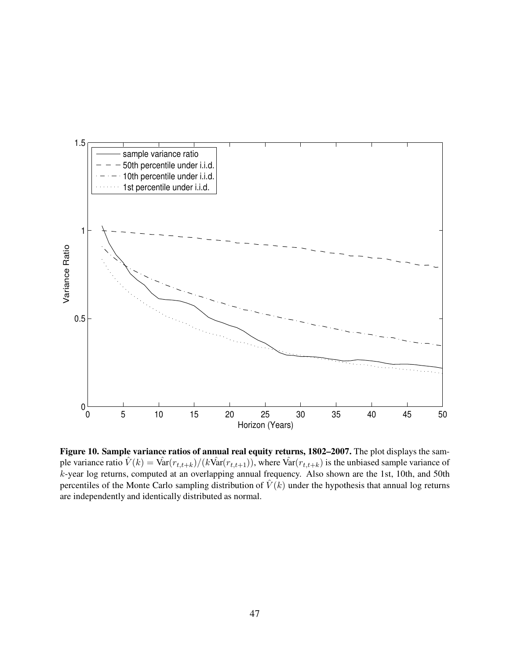![](_page_47_Figure_0.jpeg)

Figure 10. Sample variance ratios of annual real equity returns, 1802–2007. The plot displays the sample variance ratio  $\hat{V}(k) = \hat{\text{Var}}(r_{t,t+k})/(k\hat{\text{Var}}(r_{t,t+1}))$ , where  $\hat{\text{Var}}(r_{t,t+k})$  is the unbiased sample variance of k-year log returns, computed at an overlapping annual frequency. Also shown are the 1st, 10th, and 50th percentiles of the Monte Carlo sampling distribution of  $\hat{V}(k)$  under the hypothesis that annual log returns are independently and identically distributed as normal.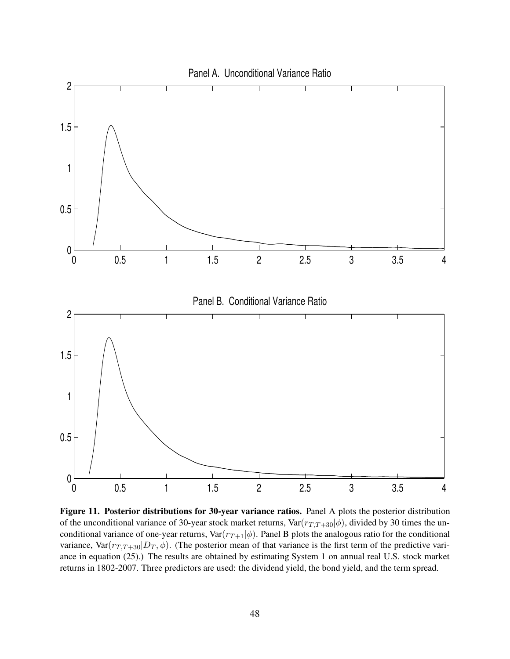![](_page_48_Figure_0.jpeg)

Figure 11. Posterior distributions for 30-year variance ratios. Panel A plots the posterior distribution of the unconditional variance of 30-year stock market returns,  $Var(r_{T,T+30}|\phi)$ , divided by 30 times the unconditional variance of one-year returns,  $Var(r_{T+1}|\phi)$ . Panel B plots the analogous ratio for the conditional variance,  $Var(r_{T,T+30}|D_T, \phi)$ . (The posterior mean of that variance is the first term of the predictive variance in equation (25).) The results are obtained by estimating System 1 on annual real U.S. stock market returns in 1802-2007. Three predictors are used: the dividend yield, the bond yield, and the term spread.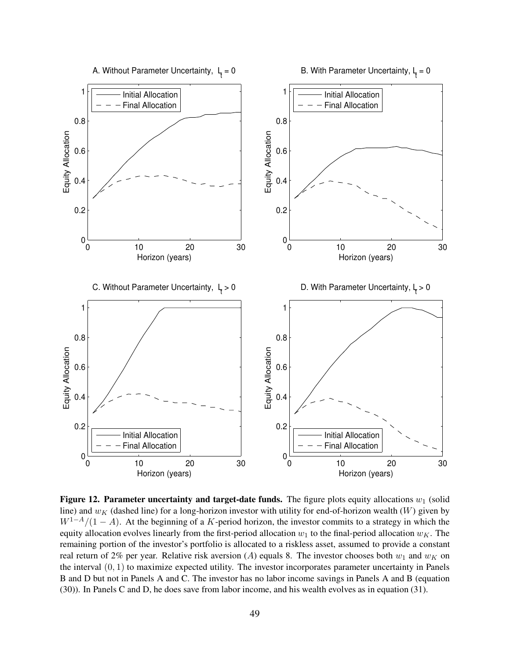![](_page_49_Figure_0.jpeg)

Figure 12. Parameter uncertainty and target-date funds. The figure plots equity allocations  $w_1$  (solid line) and  $w_K$  (dashed line) for a long-horizon investor with utility for end-of-horizon wealth (W) given by  $W^{1-A}/(1-A)$ . At the beginning of a K-period horizon, the investor commits to a strategy in which the equity allocation evolves linearly from the first-period allocation  $w_1$  to the final-period allocation  $w_K$ . The remaining portion of the investor's portfolio is allocated to a riskless asset, assumed to provide a constant real return of 2% per year. Relative risk aversion (A) equals 8. The investor chooses both  $w_1$  and  $w_K$  on the interval  $(0, 1)$  to maximize expected utility. The investor incorporates parameter uncertainty in Panels B and D but not in Panels A and C. The investor has no labor income savings in Panels A and B (equation (30)). In Panels C and D, he does save from labor income, and his wealth evolves as in equation (31).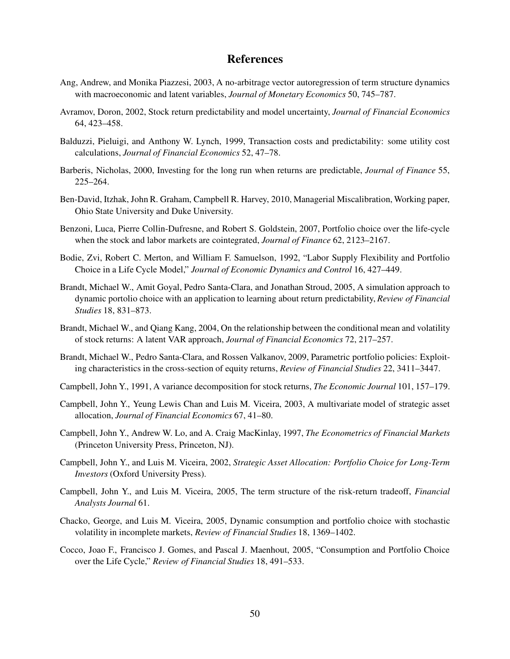#### References

- Ang, Andrew, and Monika Piazzesi, 2003, A no-arbitrage vector autoregression of term structure dynamics with macroeconomic and latent variables, Journal of Monetary Economics 50, 745–787.
- Avramov, Doron, 2002, Stock return predictability and model uncertainty, Journal of Financial Economics 64, 423–458.
- Balduzzi, Pieluigi, and Anthony W. Lynch, 1999, Transaction costs and predictability: some utility cost calculations, Journal of Financial Economics 52, 47–78.
- Barberis, Nicholas, 2000, Investing for the long run when returns are predictable, Journal of Finance 55, 225–264.
- Ben-David, Itzhak, John R. Graham, Campbell R. Harvey, 2010, Managerial Miscalibration, Working paper, Ohio State University and Duke University.
- Benzoni, Luca, Pierre Collin-Dufresne, and Robert S. Goldstein, 2007, Portfolio choice over the life-cycle when the stock and labor markets are cointegrated, *Journal of Finance* 62, 2123–2167.
- Bodie, Zvi, Robert C. Merton, and William F. Samuelson, 1992, "Labor Supply Flexibility and Portfolio Choice in a Life Cycle Model," Journal of Economic Dynamics and Control 16, 427–449.
- Brandt, Michael W., Amit Goyal, Pedro Santa-Clara, and Jonathan Stroud, 2005, A simulation approach to dynamic portolio choice with an application to learning about return predictability, Review of Financial Studies 18, 831–873.
- Brandt, Michael W., and Qiang Kang, 2004, On the relationship between the conditional mean and volatility of stock returns: A latent VAR approach, Journal of Financial Economics 72, 217–257.
- Brandt, Michael W., Pedro Santa-Clara, and Rossen Valkanov, 2009, Parametric portfolio policies: Exploiting characteristics in the cross-section of equity returns, Review of Financial Studies 22, 3411–3447.
- Campbell, John Y., 1991, A variance decomposition for stock returns, The Economic Journal 101, 157–179.
- Campbell, John Y., Yeung Lewis Chan and Luis M. Viceira, 2003, A multivariate model of strategic asset allocation, Journal of Financial Economics 67, 41–80.
- Campbell, John Y., Andrew W. Lo, and A. Craig MacKinlay, 1997, The Econometrics of Financial Markets (Princeton University Press, Princeton, NJ).
- Campbell, John Y., and Luis M. Viceira, 2002, Strategic Asset Allocation: Portfolio Choice for Long-Term Investors (Oxford University Press).
- Campbell, John Y., and Luis M. Viceira, 2005, The term structure of the risk-return tradeoff, Financial Analysts Journal 61.
- Chacko, George, and Luis M. Viceira, 2005, Dynamic consumption and portfolio choice with stochastic volatility in incomplete markets, Review of Financial Studies 18, 1369–1402.
- Cocco, Joao F., Francisco J. Gomes, and Pascal J. Maenhout, 2005, "Consumption and Portfolio Choice over the Life Cycle," Review of Financial Studies 18, 491–533.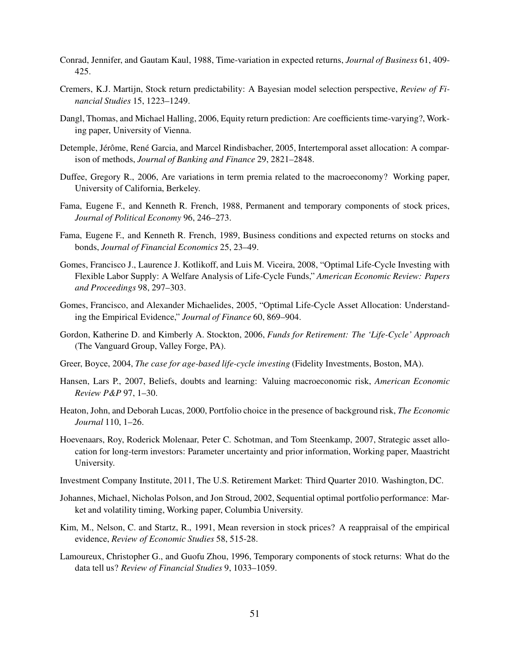- Conrad, Jennifer, and Gautam Kaul, 1988, Time-variation in expected returns, Journal of Business 61, 409- 425.
- Cremers, K.J. Martijn, Stock return predictability: A Bayesian model selection perspective, Review of Financial Studies 15, 1223–1249.
- Dangl, Thomas, and Michael Halling, 2006, Equity return prediction: Are coefficients time-varying?, Working paper, University of Vienna.
- Detemple, Jérôme, René Garcia, and Marcel Rindisbacher, 2005, Intertemporal asset allocation: A comparison of methods, Journal of Banking and Finance 29, 2821–2848.
- Duffee, Gregory R., 2006, Are variations in term premia related to the macroeconomy? Working paper, University of California, Berkeley.
- Fama, Eugene F., and Kenneth R. French, 1988, Permanent and temporary components of stock prices, Journal of Political Economy 96, 246–273.
- Fama, Eugene F., and Kenneth R. French, 1989, Business conditions and expected returns on stocks and bonds, Journal of Financial Economics 25, 23–49.
- Gomes, Francisco J., Laurence J. Kotlikoff, and Luis M. Viceira, 2008, "Optimal Life-Cycle Investing with Flexible Labor Supply: A Welfare Analysis of Life-Cycle Funds," American Economic Review: Papers and Proceedings 98, 297–303.
- Gomes, Francisco, and Alexander Michaelides, 2005, "Optimal Life-Cycle Asset Allocation: Understanding the Empirical Evidence," Journal of Finance 60, 869–904.
- Gordon, Katherine D. and Kimberly A. Stockton, 2006, Funds for Retirement: The 'Life-Cycle' Approach (The Vanguard Group, Valley Forge, PA).
- Greer, Boyce, 2004, The case for age-based life-cycle investing (Fidelity Investments, Boston, MA).
- Hansen, Lars P., 2007, Beliefs, doubts and learning: Valuing macroeconomic risk, American Economic Review P&P 97, 1–30.
- Heaton, John, and Deborah Lucas, 2000, Portfolio choice in the presence of background risk, The Economic Journal 110, 1–26.
- Hoevenaars, Roy, Roderick Molenaar, Peter C. Schotman, and Tom Steenkamp, 2007, Strategic asset allocation for long-term investors: Parameter uncertainty and prior information, Working paper, Maastricht University.
- Investment Company Institute, 2011, The U.S. Retirement Market: Third Quarter 2010. Washington, DC.
- Johannes, Michael, Nicholas Polson, and Jon Stroud, 2002, Sequential optimal portfolio performance: Market and volatility timing, Working paper, Columbia University.
- Kim, M., Nelson, C. and Startz, R., 1991, Mean reversion in stock prices? A reappraisal of the empirical evidence, Review of Economic Studies 58, 515-28.
- Lamoureux, Christopher G., and Guofu Zhou, 1996, Temporary components of stock returns: What do the data tell us? Review of Financial Studies 9, 1033–1059.